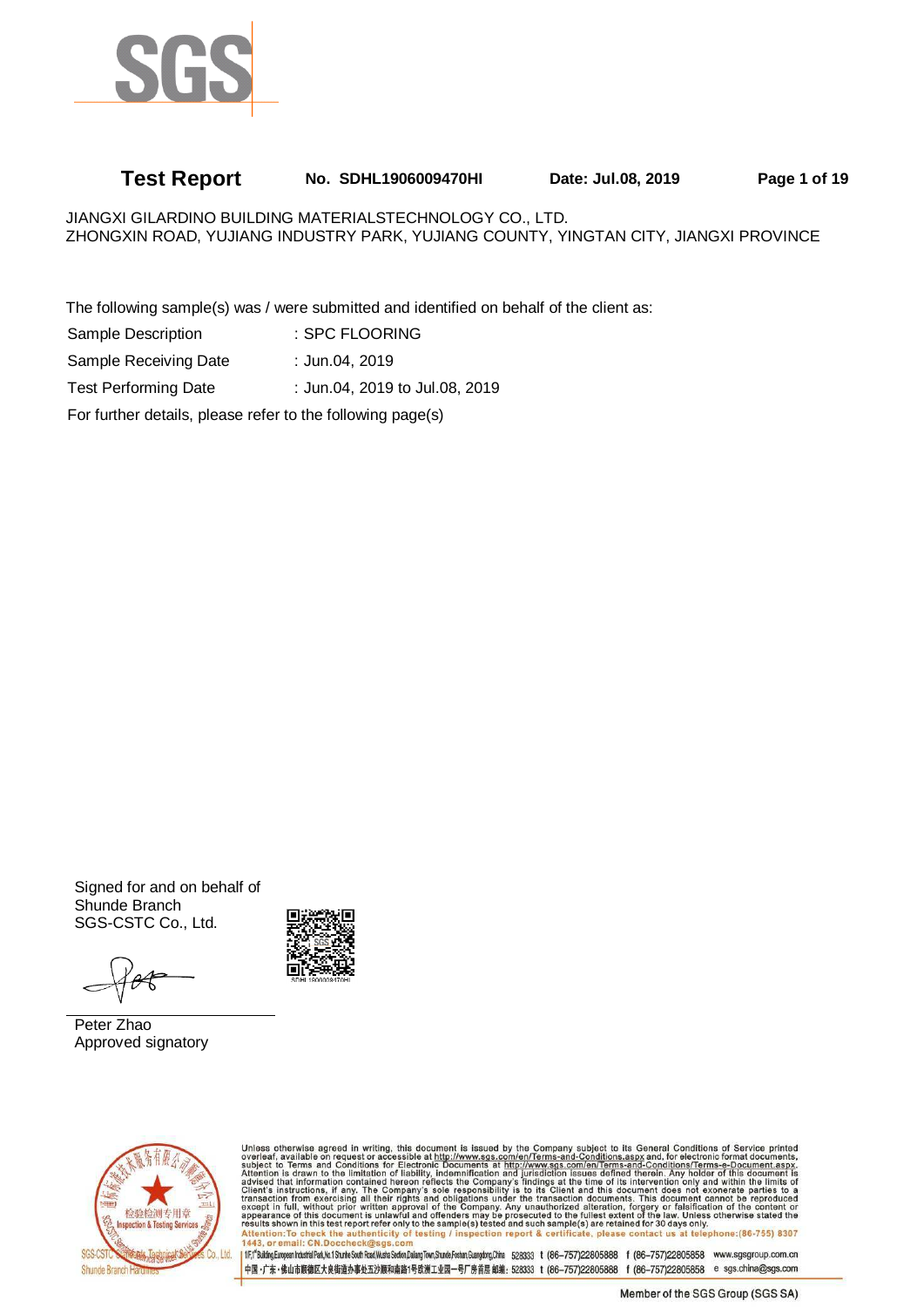

# **Test Report No. SDHL1906009470HI Date: Jul.08, 2019 Page 1 of 19**

JIANGXI GILARDINO BUILDING MATERIALSTECHNOLOGY CO., LTD. ZHONGXIN ROAD, YUJIANG INDUSTRY PARK, YUJIANG COUNTY, YINGTAN CITY, JIANGXI PROVINCE

The following sample(s) was / were submitted and identified on behalf of the client as:

| Sample Description                                         | : SPC FLOORING                 |
|------------------------------------------------------------|--------------------------------|
| Sample Receiving Date                                      | : Jun.04, 2019                 |
| <b>Test Performing Date</b>                                | : Jun.04, 2019 to Jul.08, 2019 |
| For further details, please refer to the following page(s) |                                |

Signed for and on behalf of Shunde Branch SGS-CSTC Co., Ltd.



Peter Zhao Approved signatory



Unless otherwise agreed in writing, this document is issued by the Company subject to its General Conditions of Service printed overleaf, available on request or accessible at http://www.sgs.com/en/Terms-and-Conditions.as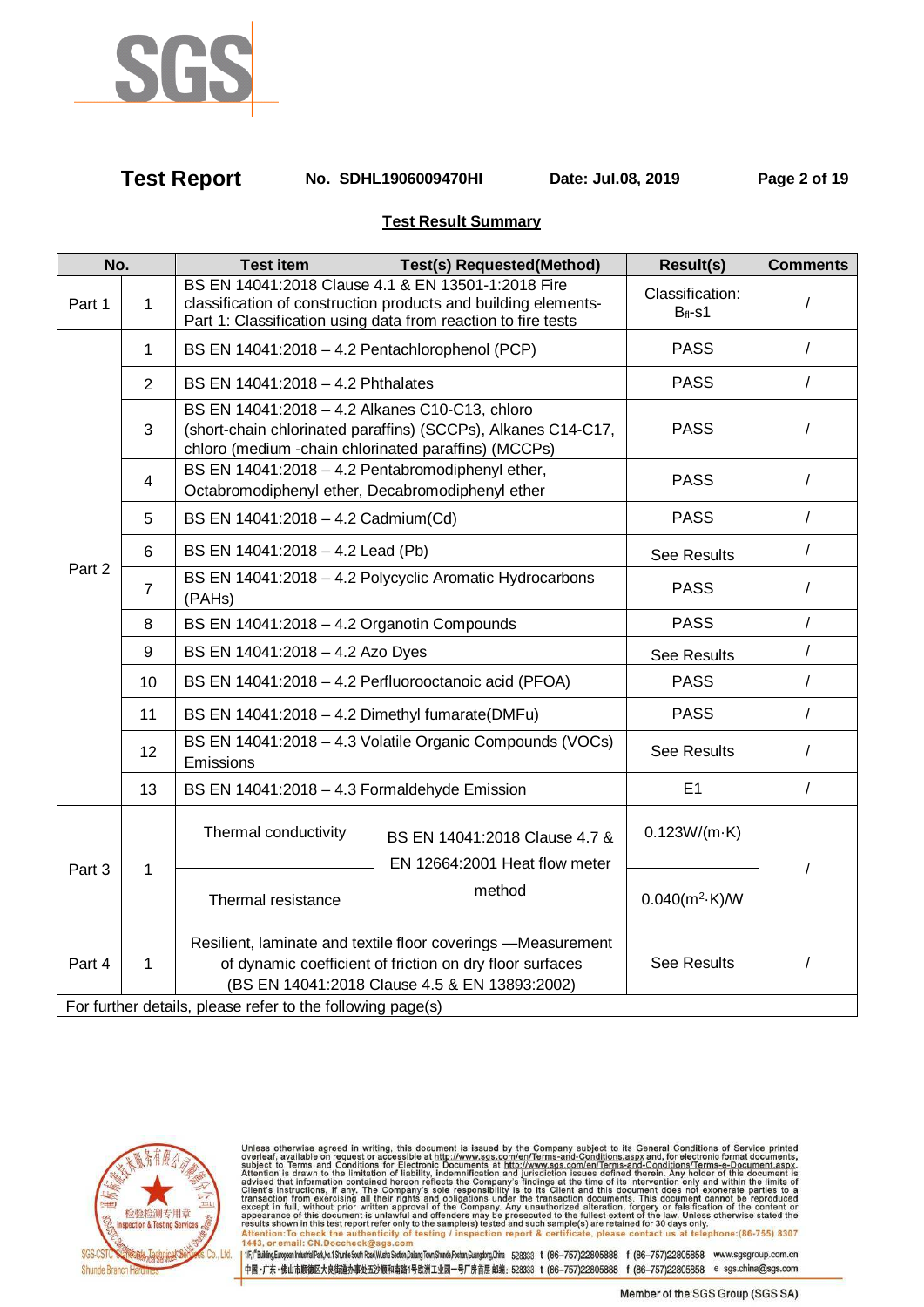

**Test Report No. SDHL1906009470HI Date: Jul.08, 2019 Page 2 of 19**

## **Test Result Summary**

| No.    |                | <b>Test item</b>                                                                                       | <b>Test(s) Requested(Method)</b>                                                                                                                                                      | <b>Result(s)</b>                | <b>Comments</b> |  |
|--------|----------------|--------------------------------------------------------------------------------------------------------|---------------------------------------------------------------------------------------------------------------------------------------------------------------------------------------|---------------------------------|-----------------|--|
| Part 1 | $\mathbf 1$    |                                                                                                        | BS EN 14041:2018 Clause 4.1 & EN 13501-1:2018 Fire<br>classification of construction products and building elements-<br>Part 1: Classification using data from reaction to fire tests | Classification:<br>$B_{fl}$ -s1 |                 |  |
|        | 1              | BS EN 14041:2018 - 4.2 Pentachlorophenol (PCP)                                                         |                                                                                                                                                                                       | <b>PASS</b>                     | $\sqrt{2}$      |  |
|        | 2              | BS EN 14041:2018 - 4.2 Phthalates                                                                      |                                                                                                                                                                                       | <b>PASS</b>                     | $\prime$        |  |
|        | 3              | BS EN 14041:2018 - 4.2 Alkanes C10-C13, chloro<br>chloro (medium -chain chlorinated paraffins) (MCCPs) | (short-chain chlorinated paraffins) (SCCPs), Alkanes C14-C17,                                                                                                                         | <b>PASS</b>                     | T               |  |
|        | 4              | BS EN 14041:2018 - 4.2 Pentabromodiphenyl ether,<br>Octabromodiphenyl ether, Decabromodiphenyl ether   |                                                                                                                                                                                       | <b>PASS</b>                     | $\prime$        |  |
|        | 5              | BS EN 14041:2018 - 4.2 Cadmium(Cd)                                                                     |                                                                                                                                                                                       | <b>PASS</b>                     | $\sqrt{2}$      |  |
|        | $6\phantom{1}$ | BS EN 14041:2018 - 4.2 Lead (Pb)                                                                       |                                                                                                                                                                                       | <b>See Results</b>              | $\sqrt{2}$      |  |
| Part 2 | $\overline{7}$ | BS EN 14041:2018 - 4.2 Polycyclic Aromatic Hydrocarbons<br>(PAHs)                                      | <b>PASS</b>                                                                                                                                                                           | $\prime$                        |                 |  |
|        | 8              | BS EN $14041:2018 - 4.2$ Organotin Compounds                                                           | <b>PASS</b>                                                                                                                                                                           | $\sqrt{2}$                      |                 |  |
|        | 9              | BS EN 14041:2018 - 4.2 Azo Dyes                                                                        |                                                                                                                                                                                       | <b>See Results</b>              | $\sqrt{2}$      |  |
|        | 10             |                                                                                                        | BS EN 14041:2018 - 4.2 Perfluorooctanoic acid (PFOA)                                                                                                                                  | <b>PASS</b>                     | $\sqrt{2}$      |  |
|        | 11             | BS EN 14041:2018 - 4.2 Dimethyl fumarate(DMFu)                                                         |                                                                                                                                                                                       | <b>PASS</b>                     | $\prime$        |  |
|        | 12             | Emissions                                                                                              | BS EN 14041:2018 - 4.3 Volatile Organic Compounds (VOCs)                                                                                                                              | <b>See Results</b>              | $\prime$        |  |
|        | 13             | BS EN 14041:2018 - 4.3 Formaldehyde Emission                                                           |                                                                                                                                                                                       | E1                              | $\sqrt{2}$      |  |
|        |                | Thermal conductivity                                                                                   | BS EN 14041:2018 Clause 4.7 &<br>EN 12664:2001 Heat flow meter                                                                                                                        | 0.123W/(m·K)                    |                 |  |
| Part 3 | 1              | Thermal resistance                                                                                     | method                                                                                                                                                                                | $0.040(m^2 \cdot K)$ /W         |                 |  |
| Part 4 | $\mathbf{1}$   |                                                                                                        | Resilient, laminate and textile floor coverings -Measurement<br>of dynamic coefficient of friction on dry floor surfaces<br>(BS EN 14041:2018 Clause 4.5 & EN 13893:2002)             | <b>See Results</b>              | $\prime$        |  |
|        |                | For further details, please refer to the following page(s)                                             |                                                                                                                                                                                       |                                 |                 |  |



Unless otherwise agreed in writing, this document is issued by the Company subject to its General Conditions of Service printed overleaf, available on request or accessible at http://www.sgs.com/en/Terms-and-Conditions.as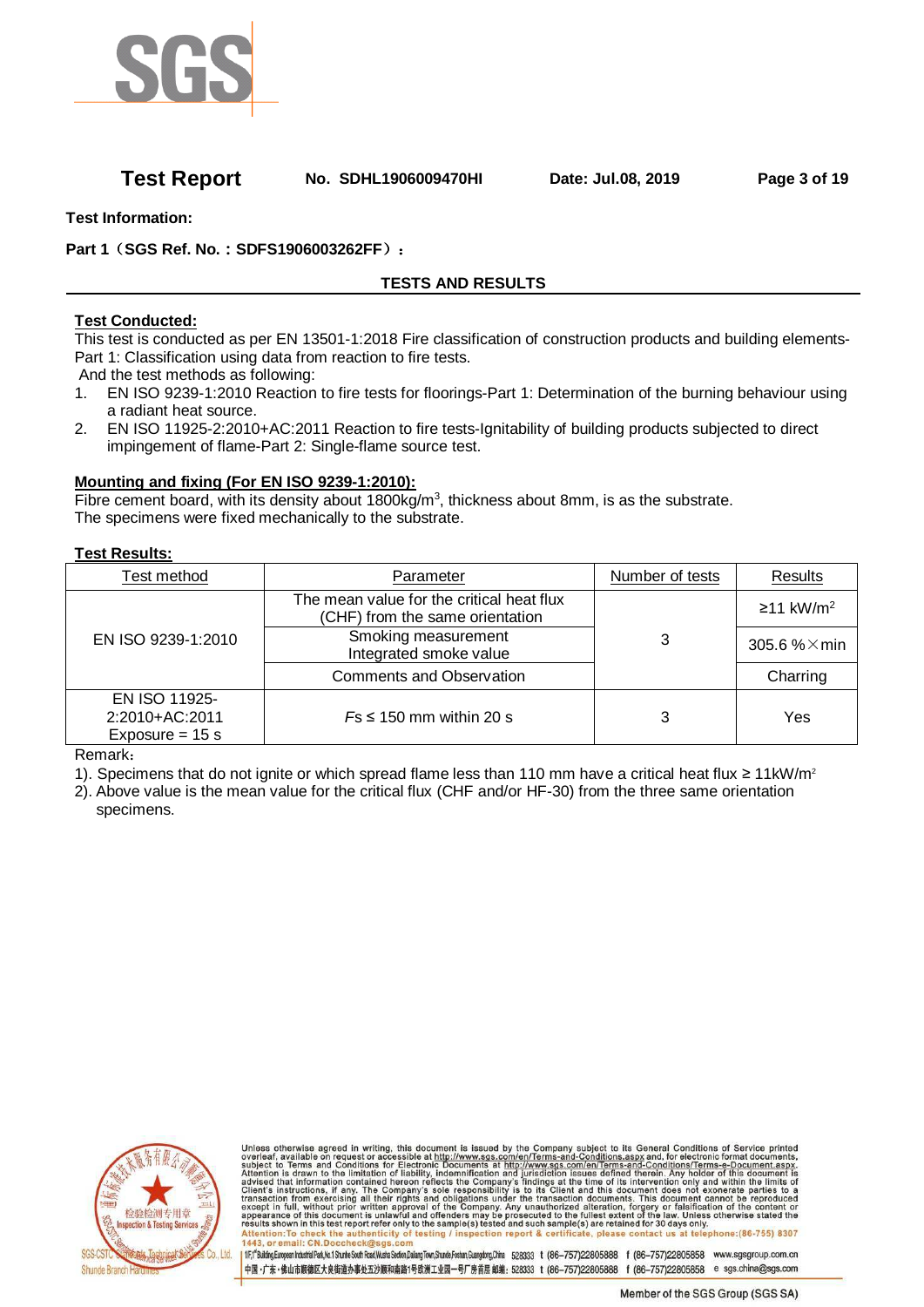

## **Test Report No. SDHL1906009470HI Date: Jul.08, 2019 Page 3 of 19**

**Test Information:** 

**Part 1**(**SGS Ref. No.:SDFS1906003262FF**):

# **TESTS AND RESULTS**

## **Test Conducted:**

This test is conducted as per EN 13501-1:2018 Fire classification of construction products and building elements-Part 1: Classification using data from reaction to fire tests.

And the test methods as following:

- 1. EN ISO 9239-1:2010 Reaction to fire tests for floorings-Part 1: Determination of the burning behaviour using a radiant heat source.
- 2. EN ISO 11925-2:2010+AC:2011 Reaction to fire tests-Ignitability of building products subjected to direct impingement of flame-Part 2: Single-flame source test.

## **Mounting and fixing (For EN ISO 9239-1:2010):**

Fibre cement board, with its density about  $1800 \text{kg/m}^3$ , thickness about 8mm, is as the substrate. The specimens were fixed mechanically to the substrate.

### **Test Results:**

| Test method                                          | Parameter                                                                    | Number of tests | <b>Results</b>          |
|------------------------------------------------------|------------------------------------------------------------------------------|-----------------|-------------------------|
|                                                      | The mean value for the critical heat flux<br>(CHF) from the same orientation |                 | $≥11$ kW/m <sup>2</sup> |
| EN ISO 9239-1:2010                                   | Smoking measurement<br>Integrated smoke value                                | 3               | 305.6 $% \times$ min    |
|                                                      | <b>Comments and Observation</b>                                              |                 | Charring                |
| EN ISO 11925-<br>2:2010+AC:2011<br>Exposure = $15 s$ | $Fs \leq 150$ mm within 20 s                                                 | 3               | Yes                     |

Remark:

- 1). Specimens that do not ignite or which spread flame less than 110 mm have a critical heat flux ≥ 11kW/m<sup>2</sup>
- 2). Above value is the mean value for the critical flux (CHF and/or HF-30) from the three same orientation specimens.



Unless otherwise agreed in writing, this document is issued by the Company subject to its General Conditions of Service printed<br>overleaf, available on request or accessible at http://www.sgs.com/en/Terms-and-Conditions.as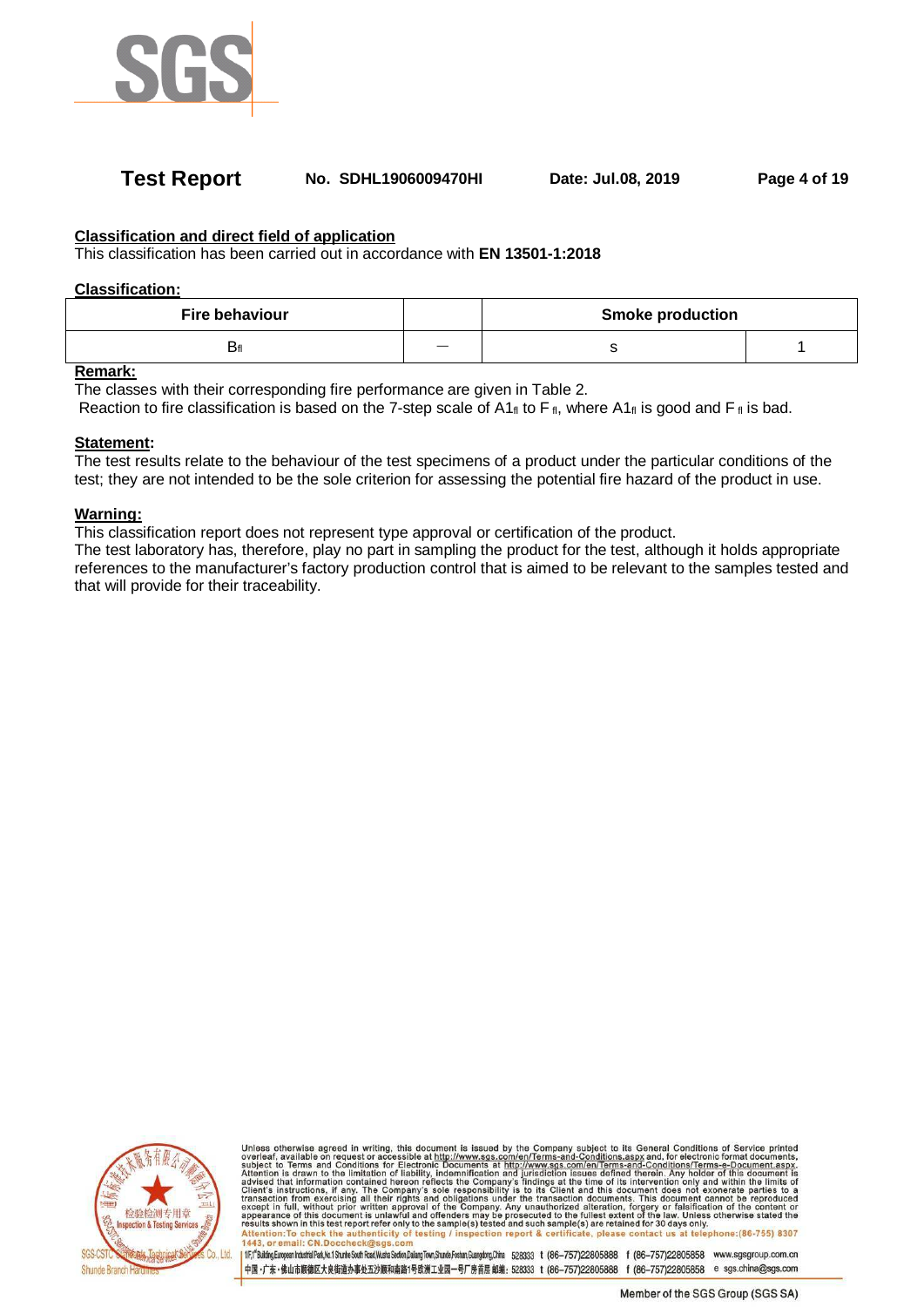

## **Test Report No. SDHL1906009470HI Date: Jul.08, 2019 Page 4 of 19**

### **Classification and direct field of application**

This classification has been carried out in accordance with **EN 13501-1:2018**

#### **Classification:**

| <b>Fire behaviour</b> |     | <b>Smoke production</b> |  |  |
|-----------------------|-----|-------------------------|--|--|
| Dfl                   | ___ |                         |  |  |

### **Remark:**

The classes with their corresponding fire performance are given in Table 2.

Reaction to fire classification is based on the 7-step scale of A1 $_{\rm fl}$  to F  $_{\rm fl}$ , where A1 $_{\rm fl}$  is good and F  $_{\rm fl}$  is bad.

#### **Statement:**

The test results relate to the behaviour of the test specimens of a product under the particular conditions of the test; they are not intended to be the sole criterion for assessing the potential fire hazard of the product in use.

#### **Warning:**

This classification report does not represent type approval or certification of the product.

The test laboratory has, therefore, play no part in sampling the product for the test, although it holds appropriate references to the manufacturer's factory production control that is aimed to be relevant to the samples tested and that will provide for their traceability.



Unless otherwise agreed in writing, this document is issued by the Company subject to its General Conditions of Service printed<br>overleaf, available on request or accessible at http://www.sgs.com/en/Terms-and-Conditions.as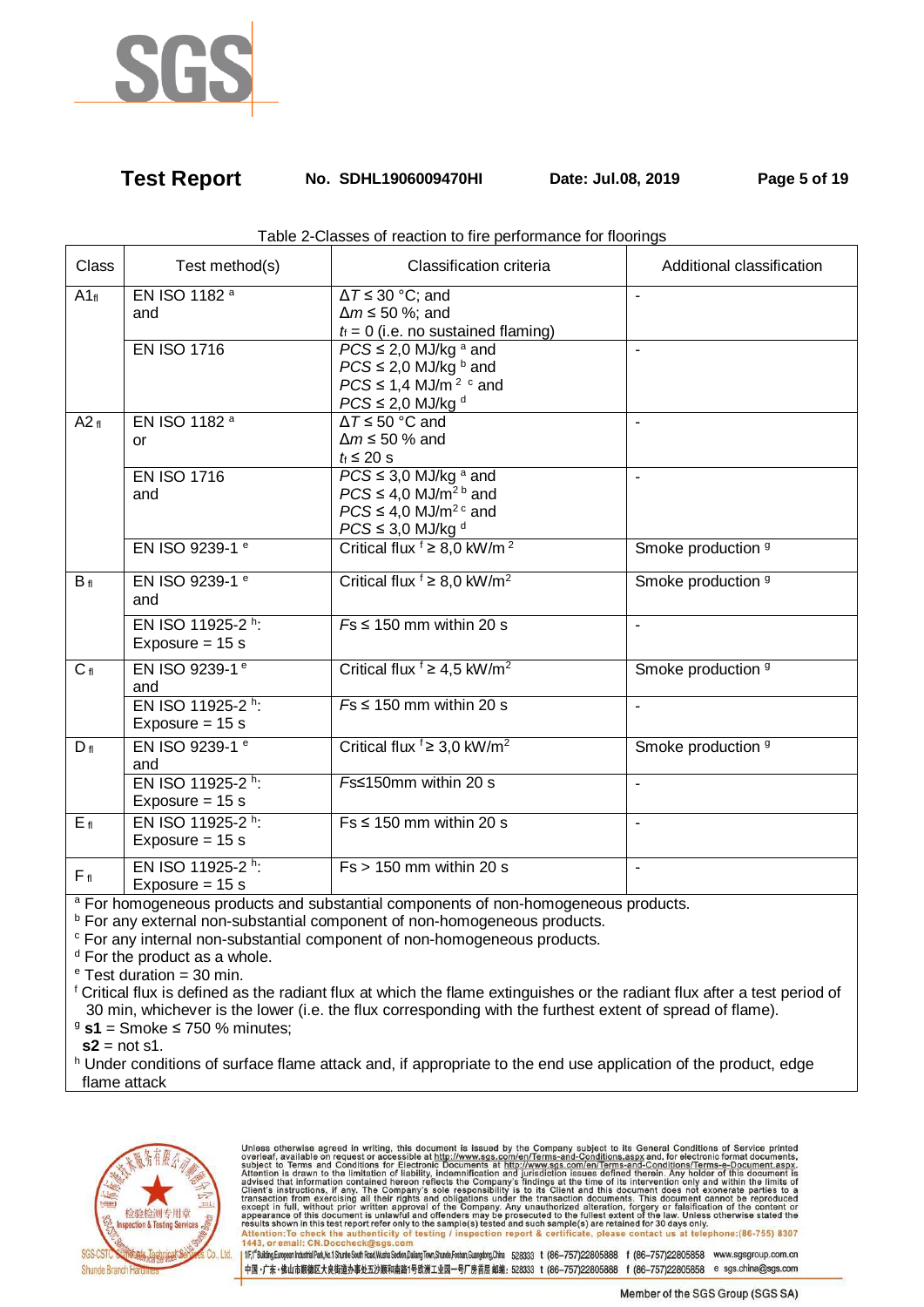

## **Test Report No. SDHL1906009470HI Date: Jul.08, 2019 Page 5 of 19**

| Class           | Test method(s)                         | Classification criteria                                                                                                                                       | Additional classification |
|-----------------|----------------------------------------|---------------------------------------------------------------------------------------------------------------------------------------------------------------|---------------------------|
| A1f             | EN ISO 1182 a<br>and                   | $\Delta T \leq 30$ °C; and<br>$\Delta m \leq 50$ %; and<br>$t_i = 0$ (i.e. no sustained flaming)                                                              |                           |
|                 | <b>EN ISO 1716</b>                     | $PCS \leq 2.0$ MJ/kg <sup>a</sup> and<br>$PCS \leq 2.0$ MJ/kg $^b$ and<br>$PCS \leq 1.4$ MJ/m <sup>2</sup> $\degree$ and<br>$PCS \leq 2,0$ MJ/kg <sup>d</sup> | ä,                        |
| A2f             | EN ISO 1182 <sup>a</sup><br>or         | $\Delta T \leq 50$ °C and<br>$\Delta m \leq 50$ % and<br>$t_i \leq 20$ s                                                                                      | $\overline{a}$            |
|                 | <b>EN ISO 1716</b><br>and              | $PCS \leq 3.0$ MJ/kg $^{\rm a}$ and<br>$PCS \leq 4.0$ MJ/m <sup>2 b</sup> and<br>$PCS \leq 4.0$ MJ/m <sup>2 c</sup> and<br>$PCS \leq 3.0$ MJ/kg <sup>d</sup>  |                           |
|                 | EN ISO 9239-1 <sup>e</sup>             | Critical flux $f \geq 8.0$ kW/m <sup>2</sup>                                                                                                                  | Smoke production 9        |
| $B_{fl}$        | EN ISO 9239-1 <sup>e</sup><br>and      | Critical flux $f \geq 8.0$ kW/m <sup>2</sup>                                                                                                                  | Smoke production 9        |
|                 | EN ISO 11925-2 h:<br>Exposure = $15 s$ | $Fs \leq 150$ mm within 20 s                                                                                                                                  | $\blacksquare$            |
| $C_{fl}$        | EN ISO 9239-1 <sup>e</sup><br>and      | Critical flux $f \geq 4.5$ kW/m <sup>2</sup>                                                                                                                  | Smoke production 9        |
|                 | EN ISO 11925-2 h:<br>Exposure = $15 s$ | $Fs \leq 150$ mm within 20 s                                                                                                                                  | ä,                        |
| $D_{fl}$        | EN ISO 9239-1 <sup>e</sup><br>and      | Critical flux $\frac{1}{2}$ 3,0 kW/m <sup>2</sup>                                                                                                             | Smoke production 9        |
|                 | EN ISO 11925-2 h:<br>Exposure = $15 s$ | <i>F</i> s≤150mm within 20 s                                                                                                                                  | $\blacksquare$            |
| E <sub>fl</sub> | EN ISO 11925-2 h:<br>Exposure = $15 s$ | $Fs \leq 150$ mm within 20 s                                                                                                                                  | $\blacksquare$            |
| $F_{fl}$        | EN ISO 11925-2 h:<br>Exposure = $15 s$ | $Fs > 150$ mm within 20 s                                                                                                                                     | ä,                        |

Table 2-Classes of reaction to fire performance for floorings

<sup>a</sup> For homogeneous products and substantial components of non-homogeneous products.

<sup>b</sup> For any external non-substantial component of non-homogeneous products.

<sup>c</sup> For any internal non-substantial component of non-homogeneous products.

<sup>d</sup> For the product as a whole.

<sup>e</sup> Test duration = 30 min.

f Critical flux is defined as the radiant flux at which the flame extinguishes or the radiant flux after a test period of 30 min, whichever is the lower (i.e. the flux corresponding with the furthest extent of spread of flame).

<sup>9</sup> **s1** = Smoke ≤ 750 % minutes;

 $s2$  = not s1.

h Under conditions of surface flame attack and, if appropriate to the end use application of the product, edge flame attack



Unless otherwise agreed in writing, this document is issued by the Company subject to its General Conditions of Service printed<br>overleaf, available on request or accessible at http://www.sgs.com/en/Terms-and-Conditions.as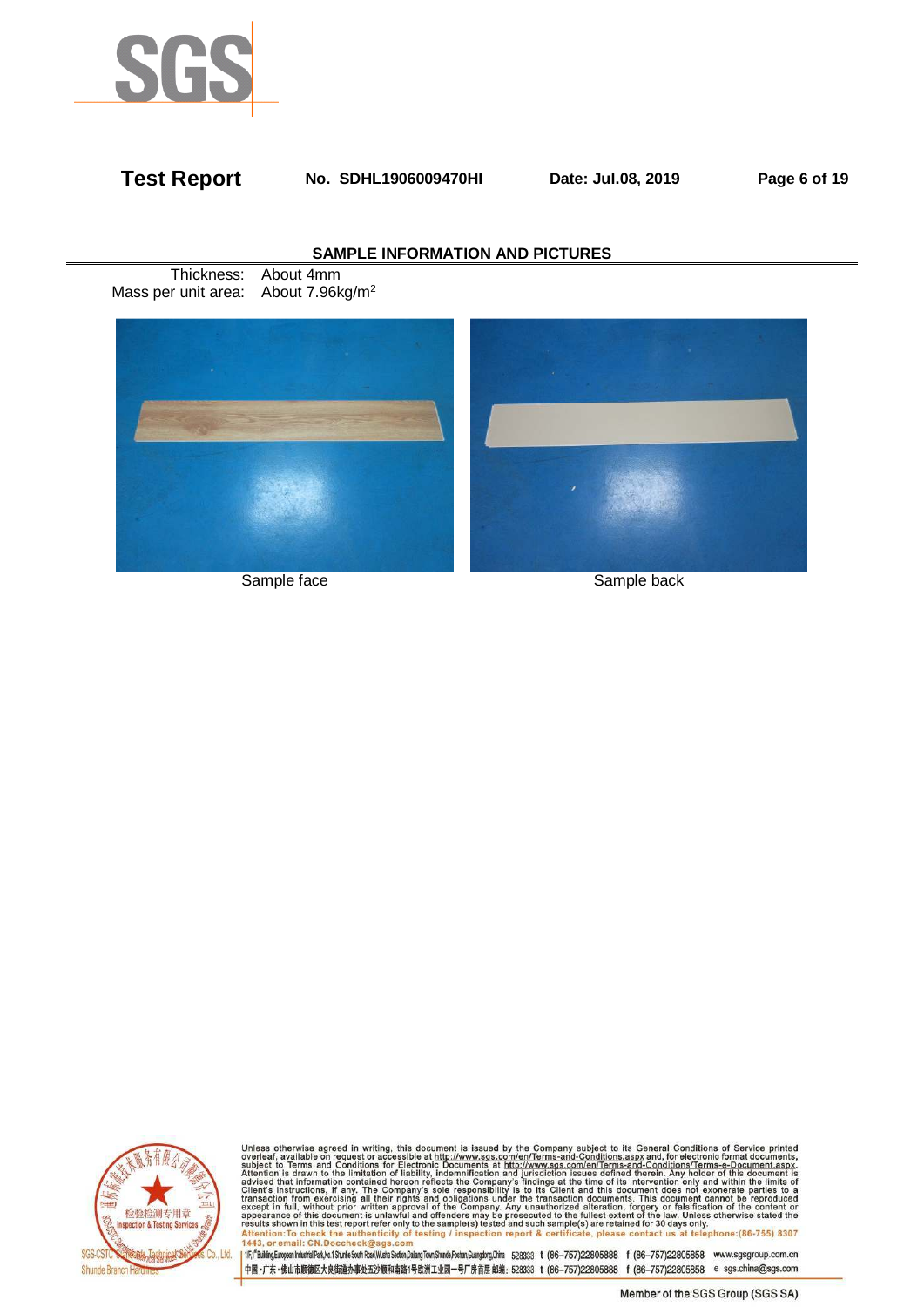

## **Test Report No. SDHL1906009470HI Date: Jul.08, 2019 Page 6 of 19**

### **SAMPLE INFORMATION AND PICTURES**

Thickness: About 4mm Mass per unit area: About 7.96kg/m<sup>2</sup>



Sample face Sample back



Unless otherwise agreed in writing, this document is issued by the Company subject to its General Conditions of Service printed<br>overleaf, available on request or accessible at http://www.sgs.com/en/Terms-and-Conditions.as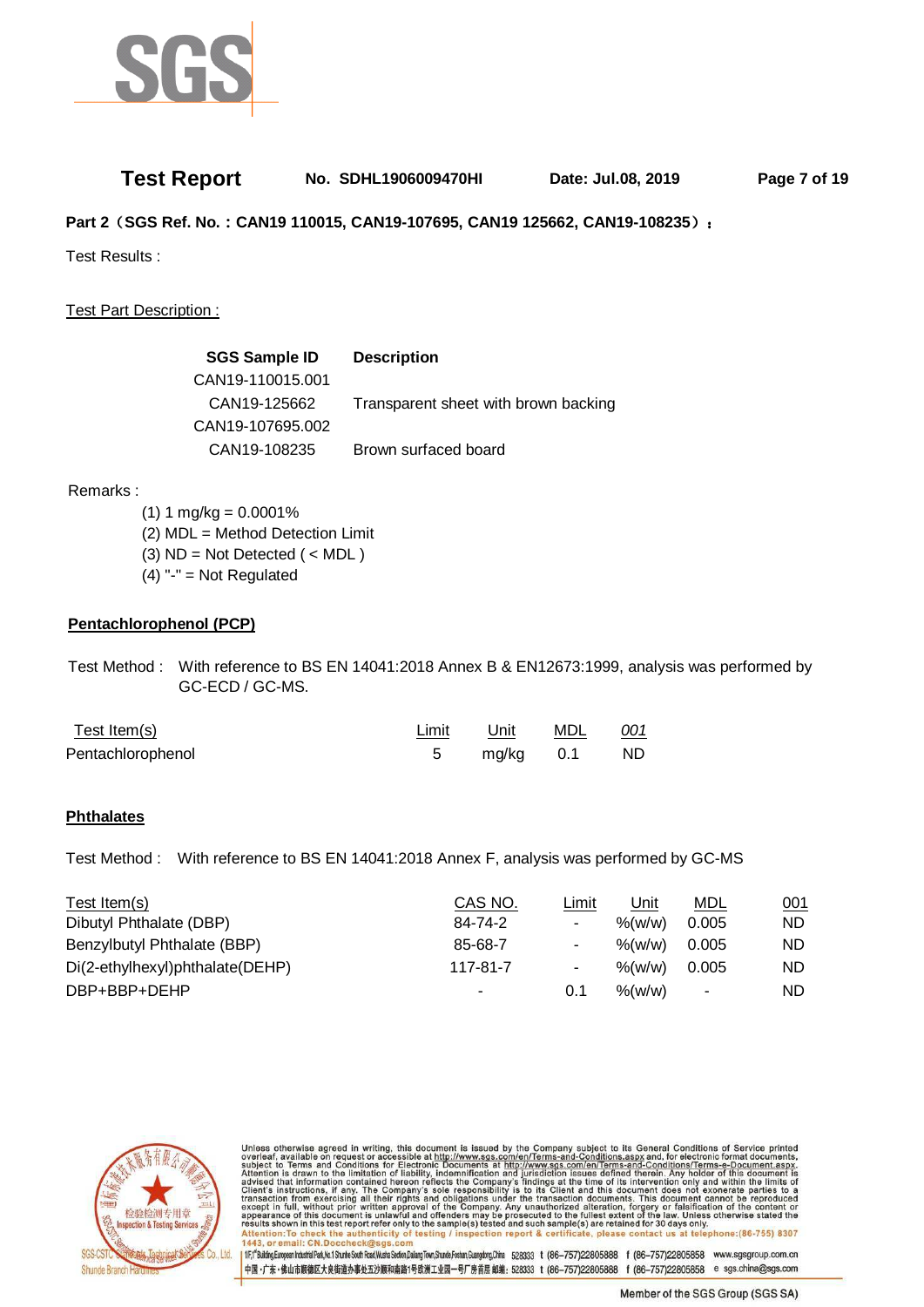

## **Test Report No. SDHL1906009470HI Date: Jul.08, 2019 Page 7 of 19**

**Part 2**(**SGS Ref. No.:CAN19 110015, CAN19-107695, CAN19 125662, CAN19-108235**):

Test Results :

Test Part Description :

| <b>SGS Sample ID</b> | <b>Description</b>                   |
|----------------------|--------------------------------------|
| CAN19-110015.001     |                                      |
| CAN19-125662         | Transparent sheet with brown backing |
| CAN19-107695.002     |                                      |
| CAN19-108235         | Brown surfaced board                 |

Remarks :

 $(1) 1 mg/kg = 0.0001%$  (2) MDL = Method Detection Limit (3)  $ND = Not detected$  ( < MDL )  $(4)$  "-" = Not Regulated

### **Pentachlorophenol (PCP)**

 Test Method : With reference to BS EN 14041:2018 Annex B & EN12673:1999, analysis was performed by GC-ECD / GC-MS.

| <u>Test Item(s)</u> | Limit | Unit      | MDL | <u>001</u> |
|---------------------|-------|-----------|-----|------------|
| Pentachlorophenol   |       | mg/kg 0.1 |     | ND.        |

### **Phthalates**

Test Method : With reference to BS EN 14041:2018 Annex F, analysis was performed by GC-MS

| Test Item(s)                    | CAS NO.  | Limit          | Unit                | MDL            | 001       |
|---------------------------------|----------|----------------|---------------------|----------------|-----------|
| Dibutyl Phthalate (DBP)         | 84-74-2  | $\blacksquare$ | $\frac{9}{6}$ (w/w) | 0.005          | ND.       |
| Benzylbutyl Phthalate (BBP)     | 85-68-7  | ۰.             | %(w/w)              | 0.005          | ND.       |
| Di(2-ethylhexyl)phthalate(DEHP) | 117-81-7 | ۰.             | $%$ (w/w)           | 0.005          | <b>ND</b> |
| DBP+BBP+DEHP                    | ٠        | 0.1            | $%$ (w/w)           | $\blacksquare$ | ND.       |



Unless otherwise agreed in writing, this document is issued by the Company subject to its General Conditions of Service printed<br>overleaf, available on request or accessible at http://www.sgs.com/en/Terms-and-Conditions.as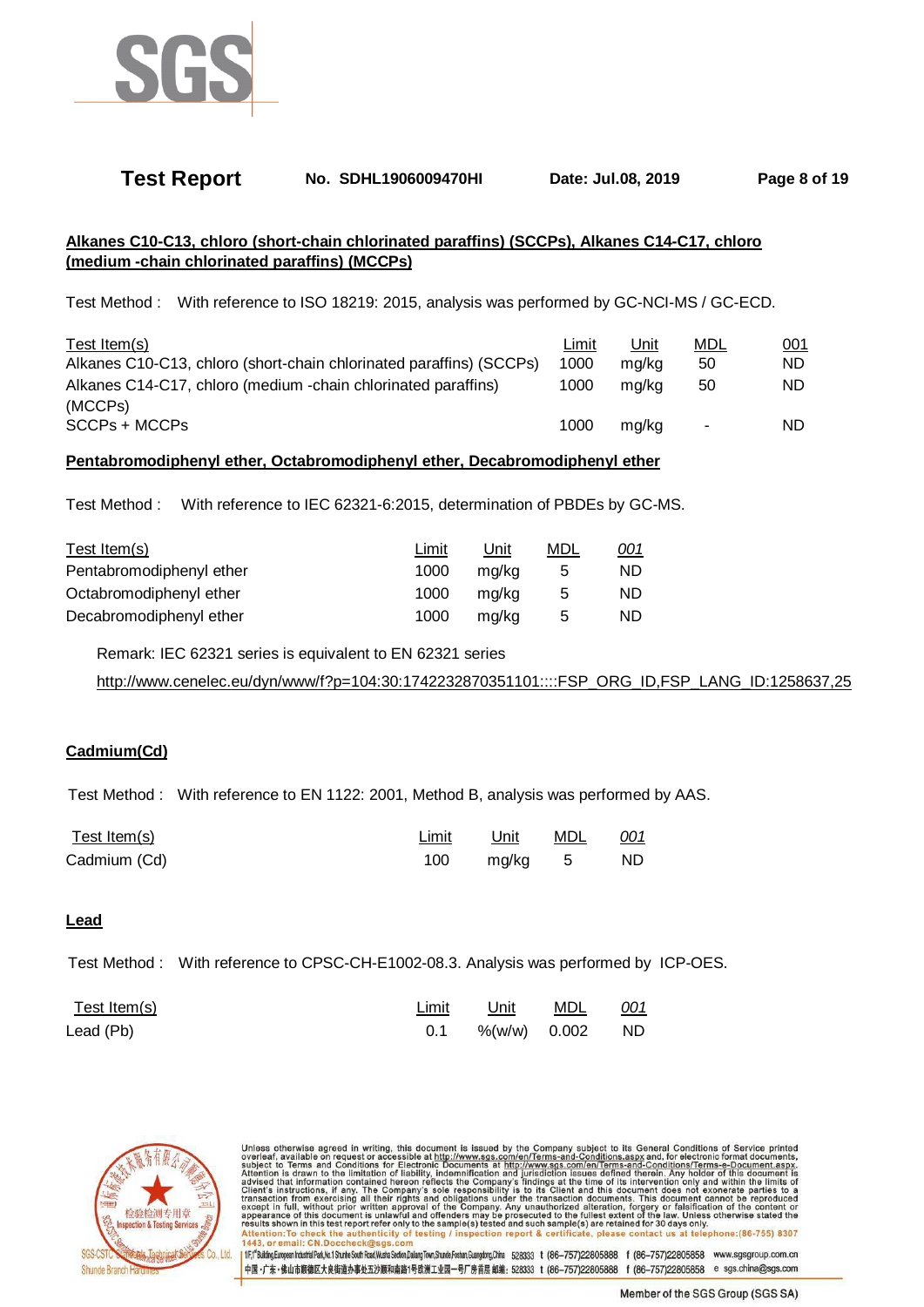

## **Test Report No. SDHL1906009470HI Date: Jul.08, 2019 Page 8 of 19**

## **Alkanes C10-C13, chloro (short-chain chlorinated paraffins) (SCCPs), Alkanes C14-C17, chloro (medium -chain chlorinated paraffins) (MCCPs)**

Test Method : With reference to ISO 18219: 2015, analysis was performed by GC-NCI-MS / GC-ECD.

| Test Item(s)                                                        | Limit | Unit  | MDL | 001 |
|---------------------------------------------------------------------|-------|-------|-----|-----|
| Alkanes C10-C13, chloro (short-chain chlorinated paraffins) (SCCPs) | 1000  | ma/ka | 50  | ND. |
| Alkanes C14-C17, chloro (medium -chain chlorinated paraffins)       | 1000  | ma/ka | 50  | ND. |
| (MCCPs)                                                             |       |       |     |     |
| SCCPs + MCCPs                                                       | 1000  | ma/ka | ٠   | ND. |

#### **Pentabromodiphenyl ether, Octabromodiphenyl ether, Decabromodiphenyl ether**

Test Method : With reference to IEC 62321-6:2015, determination of PBDEs by GC-MS.

| Test Item(s)             | Limit | Unit  | MDL | <u>001</u> |
|--------------------------|-------|-------|-----|------------|
| Pentabromodiphenyl ether | 1000  | ma/ka | 5   | ND.        |
| Octabromodiphenyl ether  | 1000  | ma/ka | 5   | ND.        |
| Decabromodiphenyl ether  | 1000  | mg/kg | 5   | ND.        |

Remark: IEC 62321 series is equivalent to EN 62321 series

http://www.cenelec.eu/dyn/www/f?p=104:30:1742232870351101::::FSP\_ORG\_ID,FSP\_LANG\_ID:1258637,25

#### **Cadmium(Cd)**

Test Method : With reference to EN 1122: 2001, Method B, analysis was performed by AAS.

| Test Item(s) | Limit | Unit     | MDL | <u>001</u> |
|--------------|-------|----------|-----|------------|
| Cadmium (Cd) | 100   | mg/kg  5 |     | ND.        |

#### **Lead**

Test Method : With reference to CPSC-CH-E1002-08.3. Analysis was performed by ICP-OES.

| Test Item(s) | Limit | <u> Unit MDL <i>001</i></u> |  |
|--------------|-------|-----------------------------|--|
| Lead (Pb)    |       | 0.1 %(w/w) 0.002 ND         |  |



Unless otherwise agreed in writing, this document is issued by the Company subject to its General Conditions of Service printed<br>overleaf, available on request or accessible at http://www.sgs.com/en/Terms-and-Conditions.as or email: 1fr,f<sup>6</sup>Bulding.European Industrial Park,Mo.1 Shunte South Read,Wusha Section,Dalang Town,Shunde,Foshan,Guangdong,China 528333 t (86-757)22805888 f (86-757)22805858 www.sgsgroup.com.cn

4国·广东·佛山市顺德区大良街道办事处五沙顺和南路1号欧洲工业园一号厂房首层 邮编: 528333 t (86-757)22805888 f (86-757)22805858 e sgs.china@sgs.com

Member of the SGS Group (SGS SA)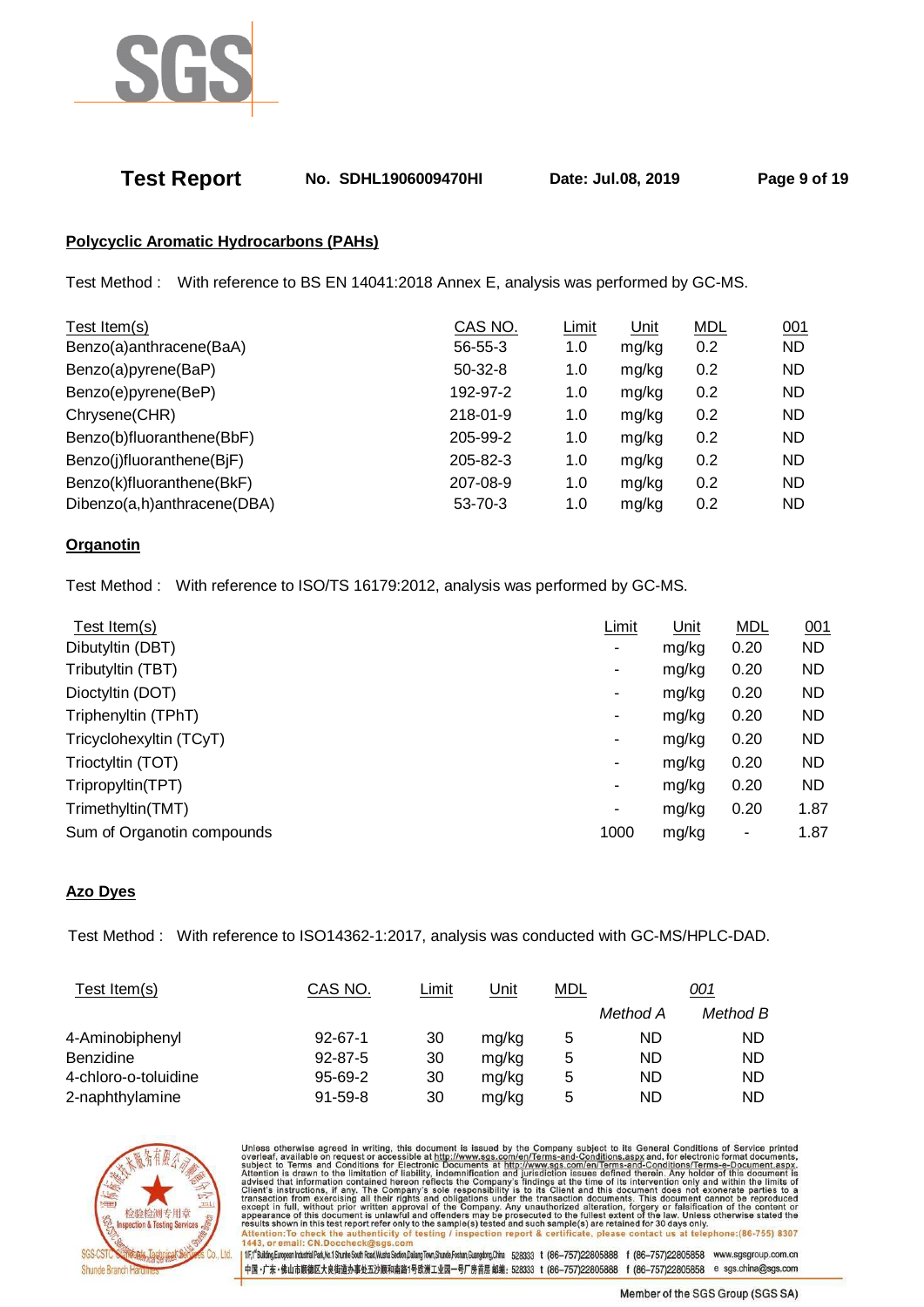

## **Test Report No. SDHL1906009470HI Date: Jul.08, 2019 Page 9 of 19**

## **Polycyclic Aromatic Hydrocarbons (PAHs)**

Test Method : With reference to BS EN 14041:2018 Annex E, analysis was performed by GC-MS.

| Test Item(s)                | CAS NO.        | Limit | Unit  | <b>MDL</b> | 001       |
|-----------------------------|----------------|-------|-------|------------|-----------|
| Benzo(a)anthracene(BaA)     | 56-55-3        | 1.0   | mg/kg | 0.2        | <b>ND</b> |
| Benzo(a)pyrene(BaP)         | $50-32-8$      | 1.0   | mg/kg | 0.2        | <b>ND</b> |
| Benzo(e)pyrene(BeP)         | 192-97-2       | 1.0   | mg/kg | 0.2        | <b>ND</b> |
| Chrysene(CHR)               | $218 - 01 - 9$ | 1.0   | mg/kg | 0.2        | <b>ND</b> |
| Benzo(b)fluoranthene(BbF)   | 205-99-2       | 1.0   | mg/kg | 0.2        | <b>ND</b> |
| Benzo(j)fluoranthene(BjF)   | 205-82-3       | 1.0   | mg/kg | 0.2        | <b>ND</b> |
| Benzo(k)fluoranthene(BkF)   | 207-08-9       | 1.0   | mg/kg | 0.2        | <b>ND</b> |
| Dibenzo(a,h)anthracene(DBA) | 53-70-3        | 1.0   | mg/kg | 0.2        | <b>ND</b> |
|                             |                |       |       |            |           |

### **Organotin**

Test Method : With reference to ISO/TS 16179:2012, analysis was performed by GC-MS.

| Test Item(s)               | Limit | Unit  | <b>MDL</b> | 001       |
|----------------------------|-------|-------|------------|-----------|
| Dibutyltin (DBT)           | ۰     | mg/kg | 0.20       | <b>ND</b> |
| Tributyltin (TBT)          | ۰     | mg/kg | 0.20       | <b>ND</b> |
| Dioctyltin (DOT)           | ۰     | mg/kg | 0.20       | <b>ND</b> |
| Triphenyltin (TPhT)        | ۰     | mg/kg | 0.20       | <b>ND</b> |
| Tricyclohexyltin (TCyT)    | ۰.    | mg/kg | 0.20       | <b>ND</b> |
| Trioctyltin (TOT)          | ۰     | mg/kg | 0.20       | <b>ND</b> |
| Tripropyltin(TPT)          | ۰     | mg/kg | 0.20       | <b>ND</b> |
| Trimethyltin(TMT)          | ۰     | mg/kg | 0.20       | 1.87      |
| Sum of Organotin compounds | 1000  | mg/kg | ۰          | 1.87      |
|                            |       |       |            |           |

### **Azo Dyes**

Test Method : With reference to ISO14362-1:2017, analysis was conducted with GC-MS/HPLC-DAD.

| Test Item(s)         | CAS NO.       | Limit | Unit  | <b>MDL</b> |           | <u>001</u> |
|----------------------|---------------|-------|-------|------------|-----------|------------|
|                      |               |       |       |            | Method A  | Method B   |
| 4-Aminobiphenyl      | $92 - 67 - 1$ | 30    | mg/kg | 5          | ND        | ND         |
| <b>Benzidine</b>     | $92 - 87 - 5$ | 30    | mg/kg | 5          | <b>ND</b> | ND         |
| 4-chloro-o-toluidine | $95 - 69 - 2$ | 30    | mg/kg | 5          | ND        | ND         |
| 2-naphthylamine      | $91 - 59 - 8$ | 30    | mg/kg | 5          | ND        | ND         |



Unless otherwise agreed in writing, this document is issued by the Company subject to its General Conditions of Service printed overleaf, available on request or accessible at http://www.sgs.com/en/Terms-and-Conditions.as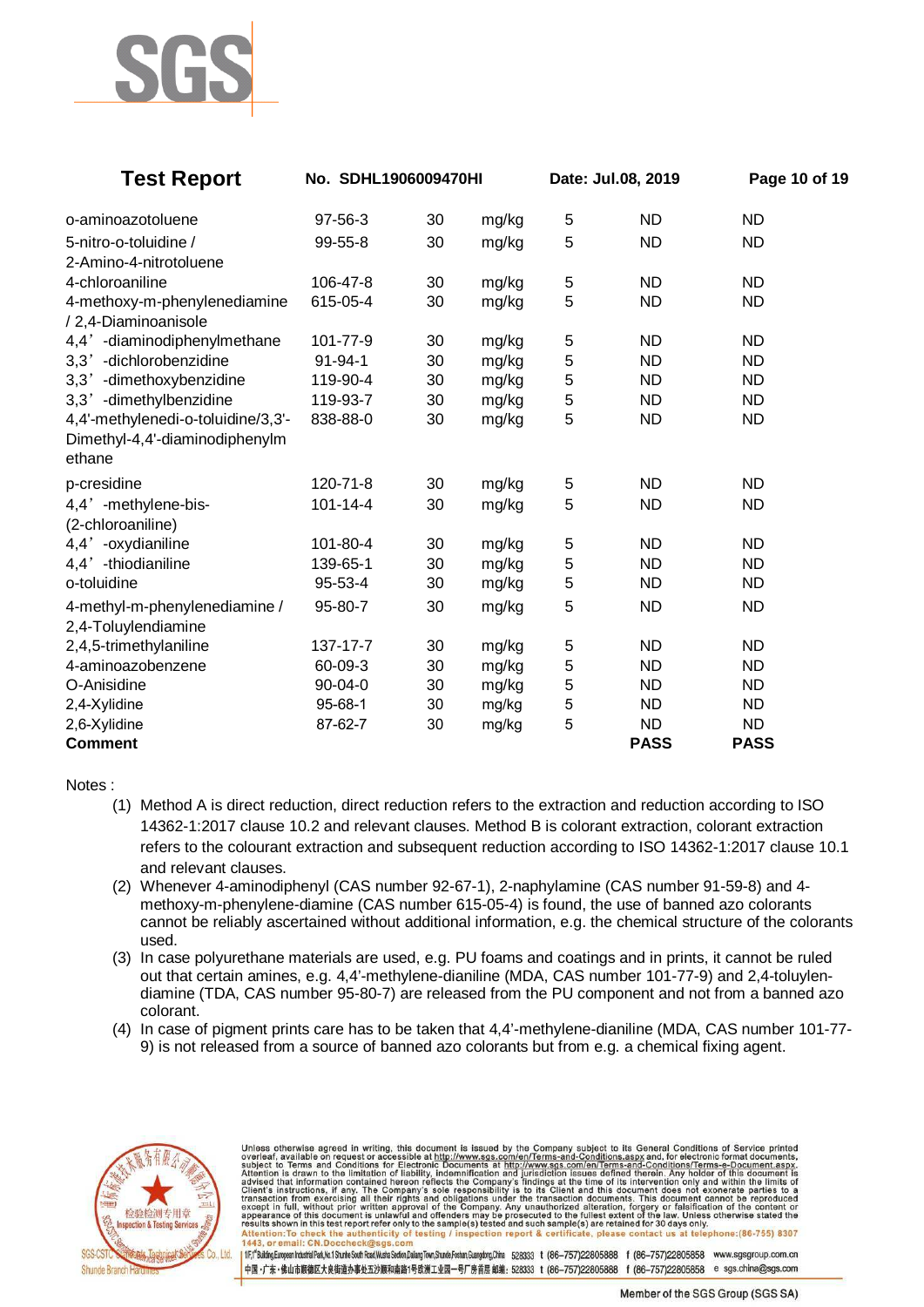

| <b>Test Report</b>                       | No. SDHL1906009470HI |    |       |                | Date: Jul.08, 2019 | Page 10 of 19 |  |
|------------------------------------------|----------------------|----|-------|----------------|--------------------|---------------|--|
| o-aminoazotoluene                        | 97-56-3              | 30 | mg/kg | $\sqrt{5}$     | <b>ND</b>          | <b>ND</b>     |  |
| 5-nitro-o-toluidine /                    | 99-55-8              | 30 | mg/kg | 5              | <b>ND</b>          | <b>ND</b>     |  |
| 2-Amino-4-nitrotoluene                   |                      |    |       |                |                    |               |  |
| 4-chloroaniline                          | 106-47-8             | 30 | mg/kg | $\mathbf 5$    | <b>ND</b>          | <b>ND</b>     |  |
| 4-methoxy-m-phenylenediamine             | 615-05-4             | 30 | mg/kg | 5              | <b>ND</b>          | <b>ND</b>     |  |
| /2,4-Diaminoanisole                      |                      |    |       |                |                    |               |  |
| 4,4' -diaminodiphenylmethane             | 101-77-9             | 30 | mg/kg | $\mathbf 5$    | <b>ND</b>          | <b>ND</b>     |  |
| 3,3' -dichlorobenzidine                  | 91-94-1              | 30 | mg/kg | $\sqrt{5}$     | <b>ND</b>          | <b>ND</b>     |  |
| 3,3' -dimethoxybenzidine                 | 119-90-4             | 30 | mg/kg | 5              | <b>ND</b>          | <b>ND</b>     |  |
| 3,3' -dimethylbenzidine                  | 119-93-7             | 30 | mg/kg | 5              | <b>ND</b>          | <b>ND</b>     |  |
| 4,4'-methylenedi-o-toluidine/3,3'-       | 838-88-0             | 30 | mg/kg | 5              | <b>ND</b>          | <b>ND</b>     |  |
| Dimethyl-4,4'-diaminodiphenylm<br>ethane |                      |    |       |                |                    |               |  |
| p-cresidine                              | 120-71-8             | 30 | mg/kg | 5              | <b>ND</b>          | <b>ND</b>     |  |
| 4,4' -methylene-bis-                     | 101-14-4             | 30 | mg/kg | 5              | <b>ND</b>          | <b>ND</b>     |  |
| (2-chloroaniline)                        |                      |    |       |                |                    |               |  |
| 4,4' -oxydianiline                       | 101-80-4             | 30 | mg/kg | $\mathbf 5$    | <b>ND</b>          | <b>ND</b>     |  |
| 4,4' -thiodianiline                      | 139-65-1             | 30 | mg/kg | $\sqrt{5}$     | <b>ND</b>          | <b>ND</b>     |  |
| o-toluidine                              | 95-53-4              | 30 | mg/kg | 5              | <b>ND</b>          | <b>ND</b>     |  |
| 4-methyl-m-phenylenediamine /            | 95-80-7              | 30 | mg/kg | 5              | <b>ND</b>          | <b>ND</b>     |  |
| 2,4-Toluylendiamine                      |                      |    |       |                |                    |               |  |
| 2,4,5-trimethylaniline                   | 137-17-7             | 30 | mg/kg | $\mathbf 5$    | <b>ND</b>          | <b>ND</b>     |  |
| 4-aminoazobenzene                        | 60-09-3              | 30 | mg/kg | 5              | <b>ND</b>          | <b>ND</b>     |  |
| O-Anisidine                              | 90-04-0              | 30 | mg/kg | 5              | <b>ND</b>          | <b>ND</b>     |  |
| 2,4-Xylidine                             | $95 - 68 - 1$        | 30 | mg/kg | $\mathbf 5$    | <b>ND</b>          | <b>ND</b>     |  |
| 2,6-Xylidine                             | 87-62-7              | 30 | mg/kg | $\overline{5}$ | <b>ND</b>          | <b>ND</b>     |  |
| Comment                                  |                      |    |       |                | <b>PASS</b>        | <b>PASS</b>   |  |

Notes :

- (1) Method A is direct reduction, direct reduction refers to the extraction and reduction according to ISO 14362-1:2017 clause 10.2 and relevant clauses. Method B is colorant extraction, colorant extraction refers to the colourant extraction and subsequent reduction according to ISO 14362-1:2017 clause 10.1 and relevant clauses.
- (2) Whenever 4-aminodiphenyl (CAS number 92-67-1), 2-naphylamine (CAS number 91-59-8) and 4 methoxy-m-phenylene-diamine (CAS number 615-05-4) is found, the use of banned azo colorants cannot be reliably ascertained without additional information, e.g. the chemical structure of the colorants used.
- (3) In case polyurethane materials are used, e.g. PU foams and coatings and in prints, it cannot be ruled out that certain amines, e.g. 4,4'-methylene-dianiline (MDA, CAS number 101-77-9) and 2,4-toluylendiamine (TDA, CAS number 95-80-7) are released from the PU component and not from a banned azo colorant.
- (4) In case of pigment prints care has to be taken that 4,4'-methylene-dianiline (MDA, CAS number 101-77- 9) is not released from a source of banned azo colorants but from e.g. a chemical fixing agent.



Unless otherwise agreed in writing, this document is issued by the Company subject to its General Conditions of Service printed<br>overleaf, available on request or accessible at http://www.sgs.com/en/Terms-and-Conditions.as esults shown in this test report refer only<br>Attention:To check the authenticity of<br>443, or email: CN.Doccheck@sgs.com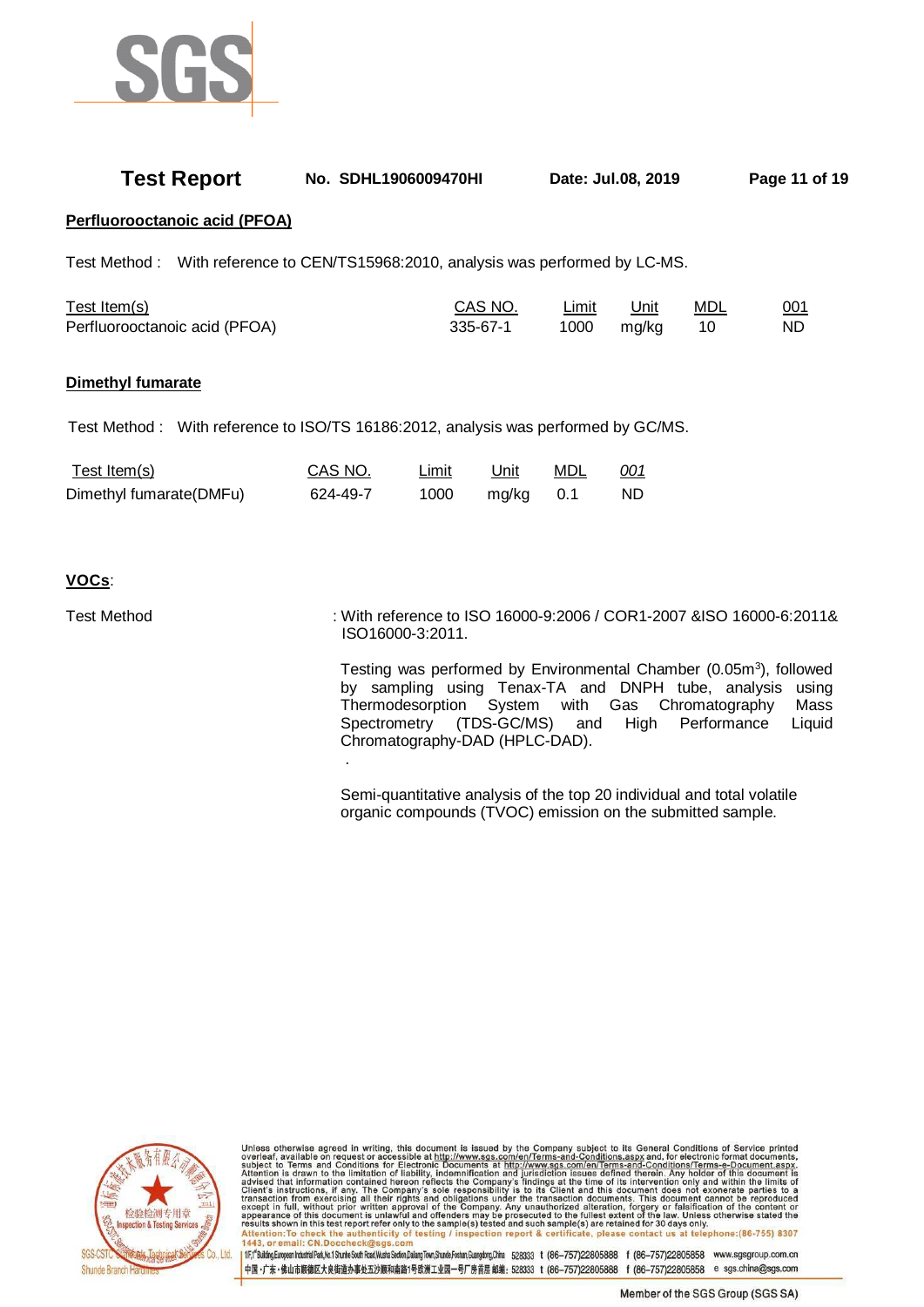

| <b>Test Report</b>                                                                 | No. SDHL1906009470HI |                      |                      |                   | Date: Jul.08, 2019   |                  | Page 11 of 19                                                       |
|------------------------------------------------------------------------------------|----------------------|----------------------|----------------------|-------------------|----------------------|------------------|---------------------------------------------------------------------|
| Perfluorooctanoic acid (PFOA)                                                      |                      |                      |                      |                   |                      |                  |                                                                     |
| Test Method: With reference to CEN/TS15968:2010, analysis was performed by LC-MS.  |                      |                      |                      |                   |                      |                  |                                                                     |
| Test Item(s)<br>Perfluorooctanoic acid (PFOA)                                      |                      |                      | CAS NO.<br>335-67-1  | Limit<br>1000     | <u>Unit</u><br>mg/kg | <b>MDL</b><br>10 | 001<br>ND.                                                          |
| Dimethyl fumarate                                                                  |                      |                      |                      |                   |                      |                  |                                                                     |
| Test Method: With reference to ISO/TS 16186:2012, analysis was performed by GC/MS. |                      |                      |                      |                   |                      |                  |                                                                     |
| Test Item(s)<br>Dimethyl fumarate(DMFu)                                            | CAS NO.<br>624-49-7  | <b>Limit</b><br>1000 | <u>Unit</u><br>mg/kg | <b>MDL</b><br>0.1 | 001<br><b>ND</b>     |                  |                                                                     |
| VOCs:                                                                              |                      |                      |                      |                   |                      |                  |                                                                     |
| <b>Test Method</b>                                                                 |                      |                      |                      |                   |                      |                  | : With reference to ISO 16000-9:2006 / COR1-2007 &ISO 16000-6:2011& |

ISO16000-3:2011.

.

Testing was performed by Environmental Chamber (0.05m<sup>3</sup>), followed by sampling using Tenax-TA and DNPH tube, analysis using Thermodesorption System with Gas Chromatography Mass Spectrometry (TDS-GC/MS) and High Performance Liquid Chromatography-DAD (HPLC-DAD).

Semi-quantitative analysis of the top 20 individual and total volatile organic compounds (TVOC) emission on the submitted sample.



Unless otherwise agreed in writing, this document is issued by the Company subject to its General Conditions of Service printed<br>overleaf, available on request or accessible at http://www.sgs.com/en/Terms-and-Conditions.as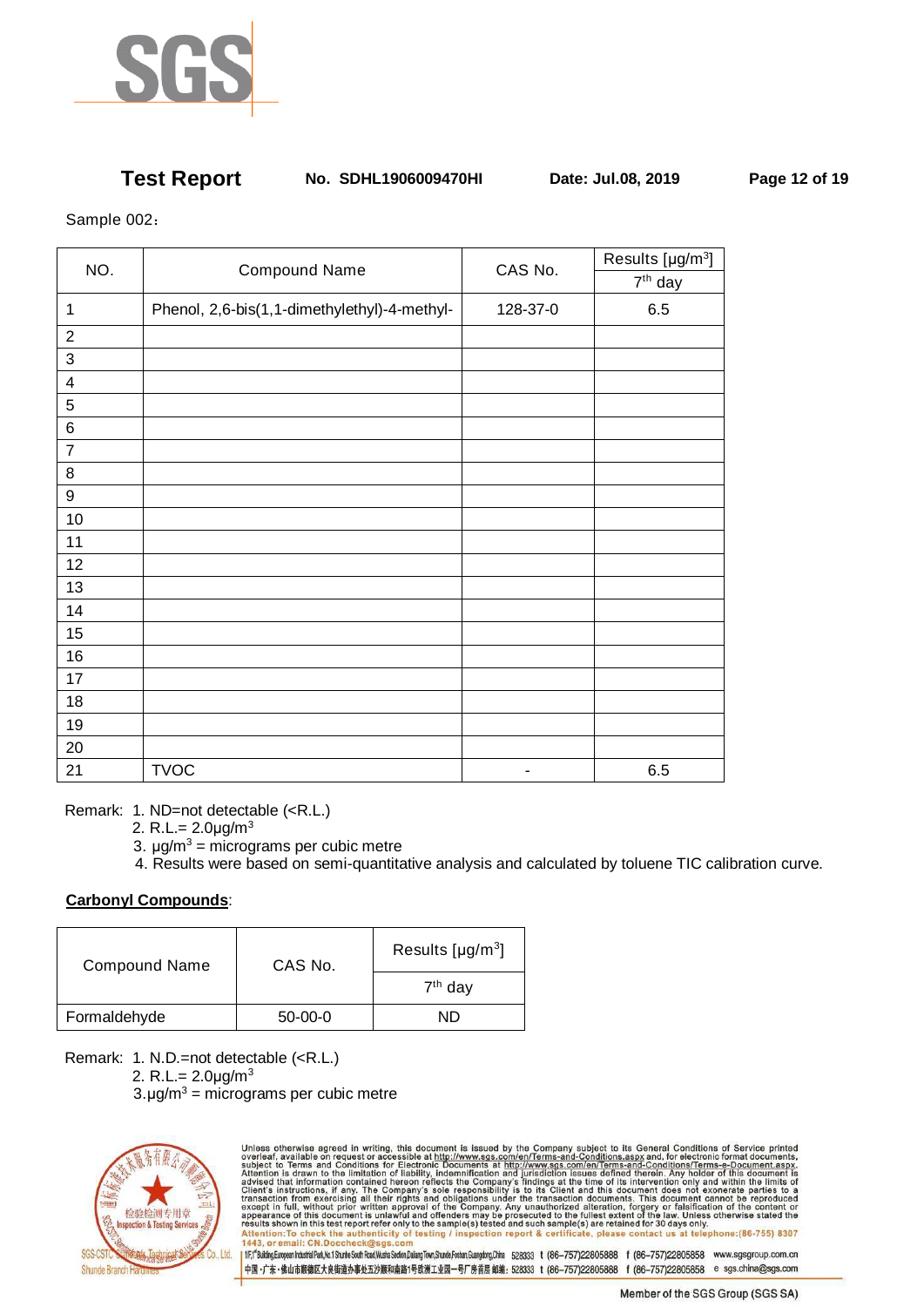

## **Test Report No. SDHL1906009470HI Date: Jul.08, 2019 Page 12 of 19**

Sample 002:

|                         | NO.<br><b>Compound Name</b>                  |          | Results [µg/m <sup>3</sup> ] |
|-------------------------|----------------------------------------------|----------|------------------------------|
|                         |                                              | CAS No.  | $7th$ day                    |
| $\mathbf{1}$            | Phenol, 2,6-bis(1,1-dimethylethyl)-4-methyl- | 128-37-0 | 6.5                          |
| $\boldsymbol{2}$        |                                              |          |                              |
| $\mathbf{3}$            |                                              |          |                              |
| $\overline{\mathbf{4}}$ |                                              |          |                              |
| $\overline{5}$          |                                              |          |                              |
| $\,6$                   |                                              |          |                              |
| $\boldsymbol{7}$        |                                              |          |                              |
| $\bf 8$                 |                                              |          |                              |
| $\boldsymbol{9}$        |                                              |          |                              |
| $10$                    |                                              |          |                              |
| 11                      |                                              |          |                              |
| 12                      |                                              |          |                              |
| 13                      |                                              |          |                              |
| 14                      |                                              |          |                              |
| 15                      |                                              |          |                              |
| 16                      |                                              |          |                              |
| 17                      |                                              |          |                              |
| 18                      |                                              |          |                              |
| 19                      |                                              |          |                              |
| 20                      |                                              |          |                              |
| 21                      | <b>TVOC</b>                                  | ۰        | 6.5                          |

Remark: 1. ND=not detectable (<R.L.)

- 2. R.L.=  $2.0 \mu g/m^3$
- 3.  $\mu$ g/m<sup>3</sup> = micrograms per cubic metre
	- 4. Results were based on semi-quantitative analysis and calculated by toluene TIC calibration curve.

## **Carbonyl Compounds**:

| <b>Compound Name</b> | CAS No.   | Results [ $\mu$ g/m <sup>3</sup> ] |
|----------------------|-----------|------------------------------------|
|                      |           | $7th$ day                          |
| Formaldehyde         | $50-00-0$ | NŊ                                 |

Remark: 1. N.D.=not detectable (<R.L.)

- 2. R.L.=  $2.0 \mu g/m^3$
- $3. \mu g/m^3$  = micrograms per cubic metre



Unless otherwise agreed in writing, this document is issued by the Company subject to its General Conditions of Service printed overleaf, available on request or accessible at http://www.sgs.com/en/Terms-and-Conditions.as 1fr,f<sup>6</sup>Bulding.European Industrial Park,Mo.1 Shunhe South Read,Wusha Seden,Dalang Town,Shunde,Foshan,Guangdong,China 528333 t (86-757)22805888 f (86-757)22805858 www.sgsgroup.com.cn

-<br>中国·广东·佛山市順德区大良街道办事处五沙顺和南路1号欧洲工业园一号厂房首层 邮编: 528333 t (86-757)22805888 f (86-757)22805858 e sgs.china@sgs.com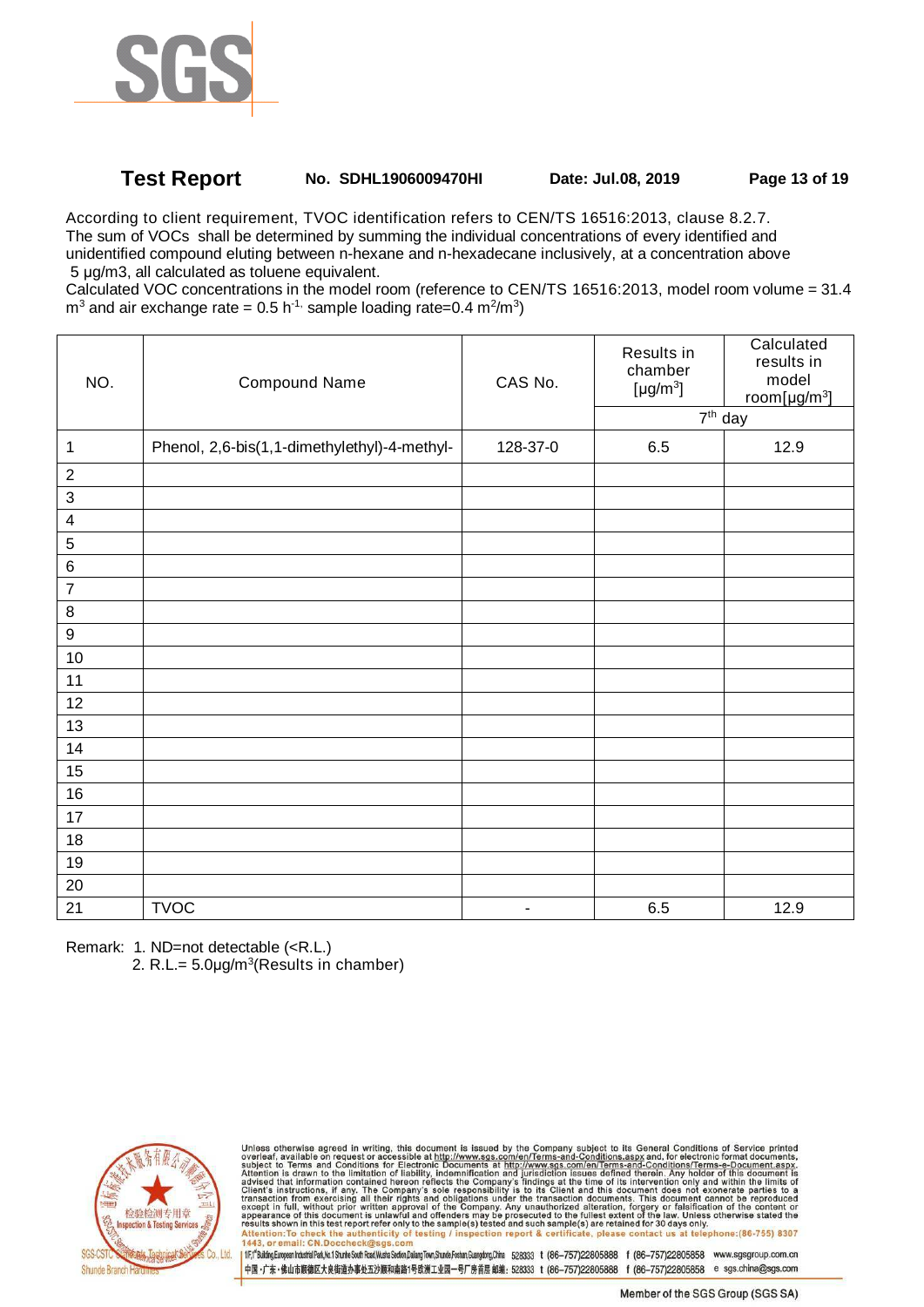

# **Test Report No. SDHL1906009470HI Date: Jul.08, 2019 Page 13 of 19**

According to client requirement, TVOC identification refers to CEN/TS 16516:2013, clause 8.2.7. The sum of VOCs shall be determined by summing the individual concentrations of every identified and unidentified compound eluting between n-hexane and n-hexadecane inclusively, at a concentration above 5 µg/m3, all calculated as toluene equivalent.

Calculated VOC concentrations in the model room (reference to CEN/TS 16516:2013, model room volume = 31.4  $\text{m}^3$  and air exchange rate = 0.5 h<sup>-1,</sup> sample loading rate=0.4 m<sup>2</sup>/m<sup>3</sup>)

| NO.                       | <b>Compound Name</b>                         | CAS No.        | Results in<br>chamber<br>[ $\mu$ g/m <sup>3</sup> ]<br>$\overline{7^{th}}$ day | Calculated<br>results in<br>model<br>room[ $\mu$ g/m <sup>3</sup> ] |
|---------------------------|----------------------------------------------|----------------|--------------------------------------------------------------------------------|---------------------------------------------------------------------|
| 1                         | Phenol, 2,6-bis(1,1-dimethylethyl)-4-methyl- | 128-37-0       | 6.5                                                                            | 12.9                                                                |
| $\sqrt{2}$                |                                              |                |                                                                                |                                                                     |
| $\ensuremath{\mathsf{3}}$ |                                              |                |                                                                                |                                                                     |
| $\overline{\mathbf{4}}$   |                                              |                |                                                                                |                                                                     |
| $\sqrt{5}$                |                                              |                |                                                                                |                                                                     |
| $\,6$                     |                                              |                |                                                                                |                                                                     |
| $\overline{7}$            |                                              |                |                                                                                |                                                                     |
| $\,8\,$                   |                                              |                |                                                                                |                                                                     |
| $\boldsymbol{9}$          |                                              |                |                                                                                |                                                                     |
| $10$                      |                                              |                |                                                                                |                                                                     |
| 11                        |                                              |                |                                                                                |                                                                     |
| 12                        |                                              |                |                                                                                |                                                                     |
| 13                        |                                              |                |                                                                                |                                                                     |
| 14                        |                                              |                |                                                                                |                                                                     |
| 15                        |                                              |                |                                                                                |                                                                     |
| $16$                      |                                              |                |                                                                                |                                                                     |
| $17$                      |                                              |                |                                                                                |                                                                     |
| 18                        |                                              |                |                                                                                |                                                                     |
| 19                        |                                              |                |                                                                                |                                                                     |
| $20\,$                    |                                              |                |                                                                                |                                                                     |
| 21                        | <b>TVOC</b>                                  | $\blacksquare$ | 6.5                                                                            | 12.9                                                                |

Remark: 1. ND=not detectable (<R.L.)

2. R.L.=  $5.0 \mu g/m^3$ (Results in chamber)



Unless otherwise agreed in writing, this document is issued by the Company subject to its General Conditions of Service printed overleaf, available on request or accessible at http://www.sgs.com/en/Terms-and-Conditions.as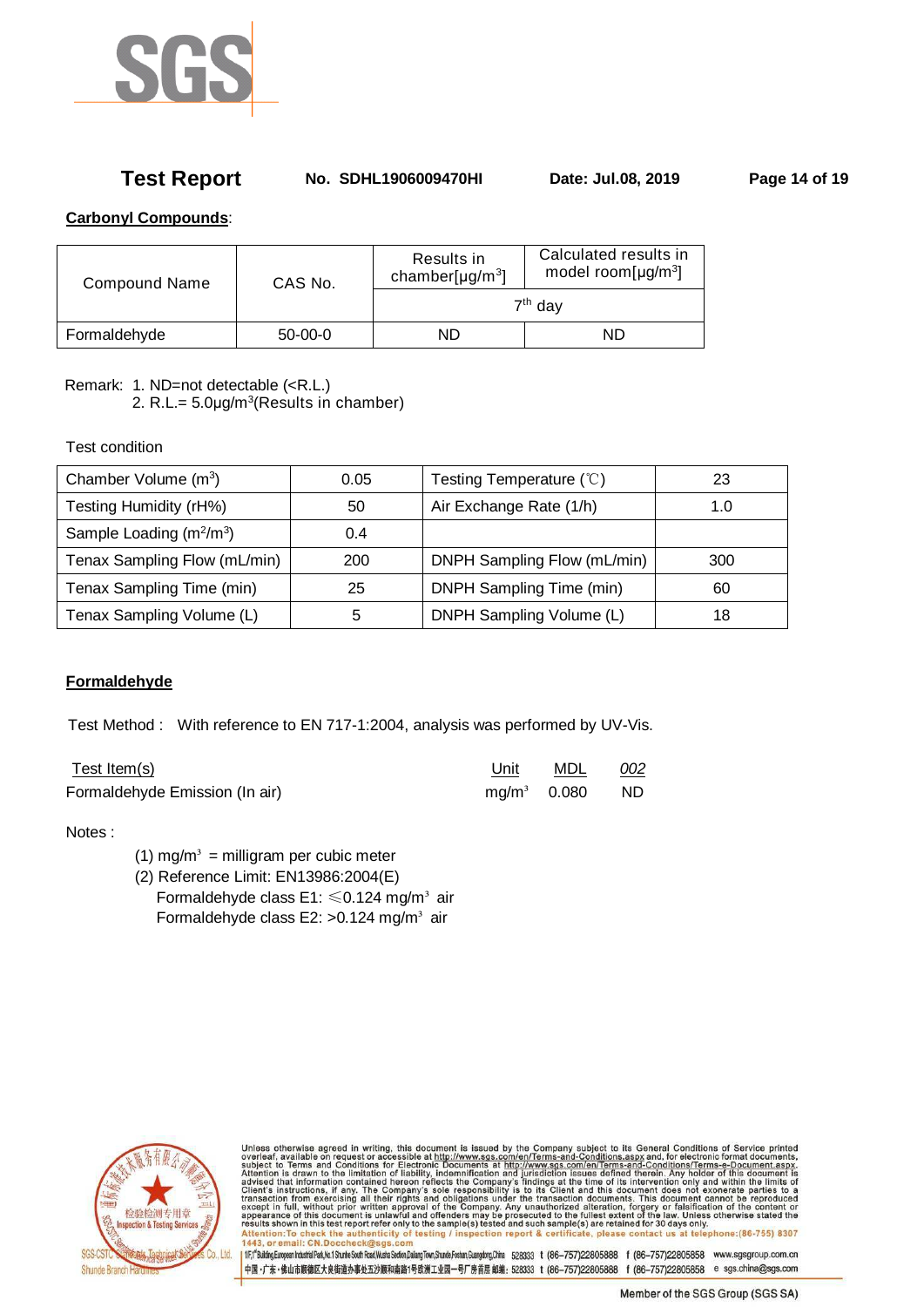

# **Test Report No. SDHL1906009470HI Date: Jul.08, 2019 Page 14 of 19**

## **Carbonyl Compounds**:

| <b>Compound Name</b> | CAS No.   | Results in<br>chamber[ $\mu$ g/m <sup>3</sup> ] | Calculated results in<br>model room[ $\mu$ g/m <sup>3</sup> ] |  |  |
|----------------------|-----------|-------------------------------------------------|---------------------------------------------------------------|--|--|
|                      |           | 7 <sup>th</sup> day                             |                                                               |  |  |
| Formaldehyde         | $50-00-0$ | ND                                              | ND.                                                           |  |  |

Remark: 1. ND=not detectable (<R.L.)

2. R.L.=  $5.0 \mu g/m^3$ (Results in chamber)

Test condition

| Chamber Volume $(m^3)$       | 0.05 | Testing Temperature (°C)    | 23  |
|------------------------------|------|-----------------------------|-----|
| Testing Humidity (rH%)       | 50   | Air Exchange Rate (1/h)     | 1.0 |
| Sample Loading $(m^2/m^3)$   | 0.4  |                             |     |
| Tenax Sampling Flow (mL/min) | 200  | DNPH Sampling Flow (mL/min) | 300 |
| Tenax Sampling Time (min)    | 25   | DNPH Sampling Time (min)    | 60  |
| Tenax Sampling Volume (L)    | 5    | DNPH Sampling Volume (L)    | 18  |

# **Formaldehyde**

Test Method : With reference to EN 717-1:2004, analysis was performed by UV-Vis.

| Test Item(s)                   | Unit          | MDL | 002 |
|--------------------------------|---------------|-----|-----|
| Formaldehyde Emission (In air) | $mg/m3$ 0.080 |     | ND. |

## Notes :

- (1) mg/m<sup>3</sup> = milligram per cubic meter
- (2) Reference Limit: EN13986:2004(E) Formaldehyde class E1:  $\leq 0.124$  mg/m<sup>3</sup> air Formaldehyde class E2:  $>0.124$  mg/m<sup>3</sup> air



Unless otherwise agreed in writing, this document is issued by the Company subject to its General Conditions of Service printed<br>overleaf, available on request or accessible at http://www.sgs.com/en/Terms-and-Conditions.as esuits shown in this test report r<br>Attention:To check the auther<br>1443, or email: CN.Doccheck@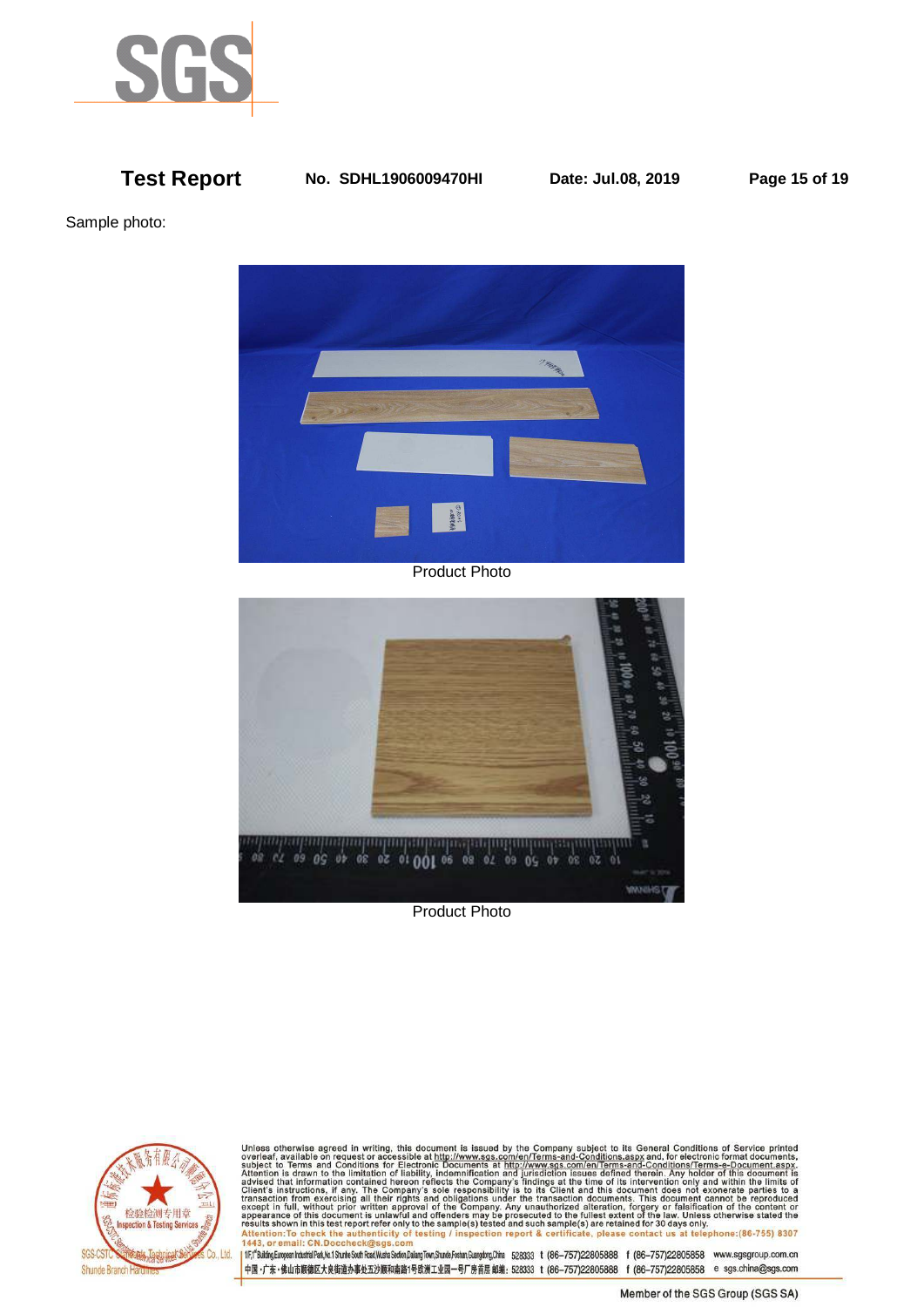

## **Test Report No. SDHL1906009470HI Date: Jul.08, 2019 Page 15 of 19**

Sample photo:



Product Photo



Product Photo



Unless otherwise agreed in writing, this document is issued by the Company subject to its General Conditions of Service printed<br>overleaf, available on request or accessible at http://www.sgs.com/en/Terms-and-Conditions.as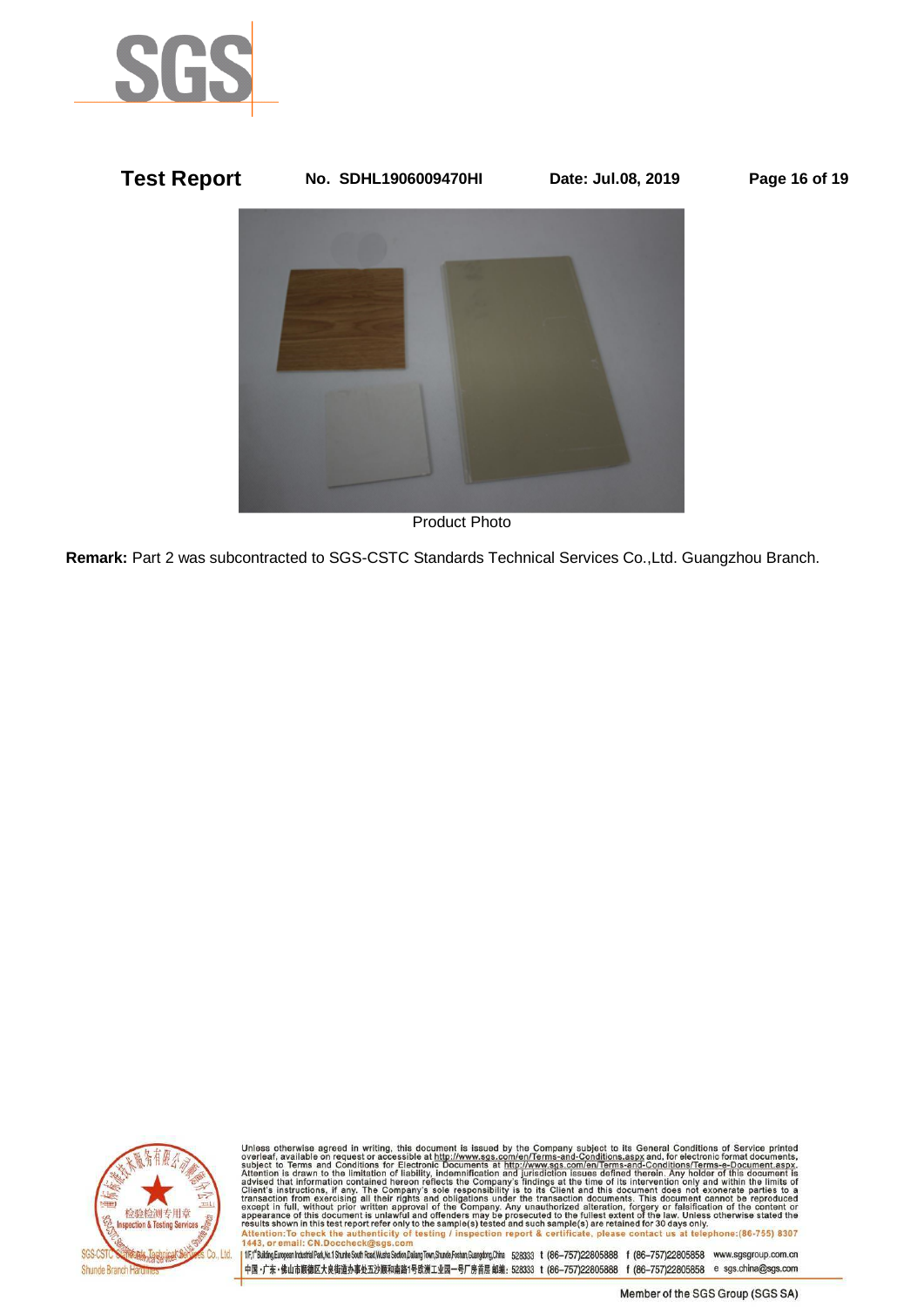



Product Photo

**Remark:** Part 2 was subcontracted to SGS-CSTC Standards Technical Services Co.,Ltd. Guangzhou Branch.



Unless otherwise agreed in writing, this document is issued by the Company subject to its General Conditions of Service printed<br>overleaf, available on request or accessible at http://www.sgs.com/en/Terms-and-Conditions.as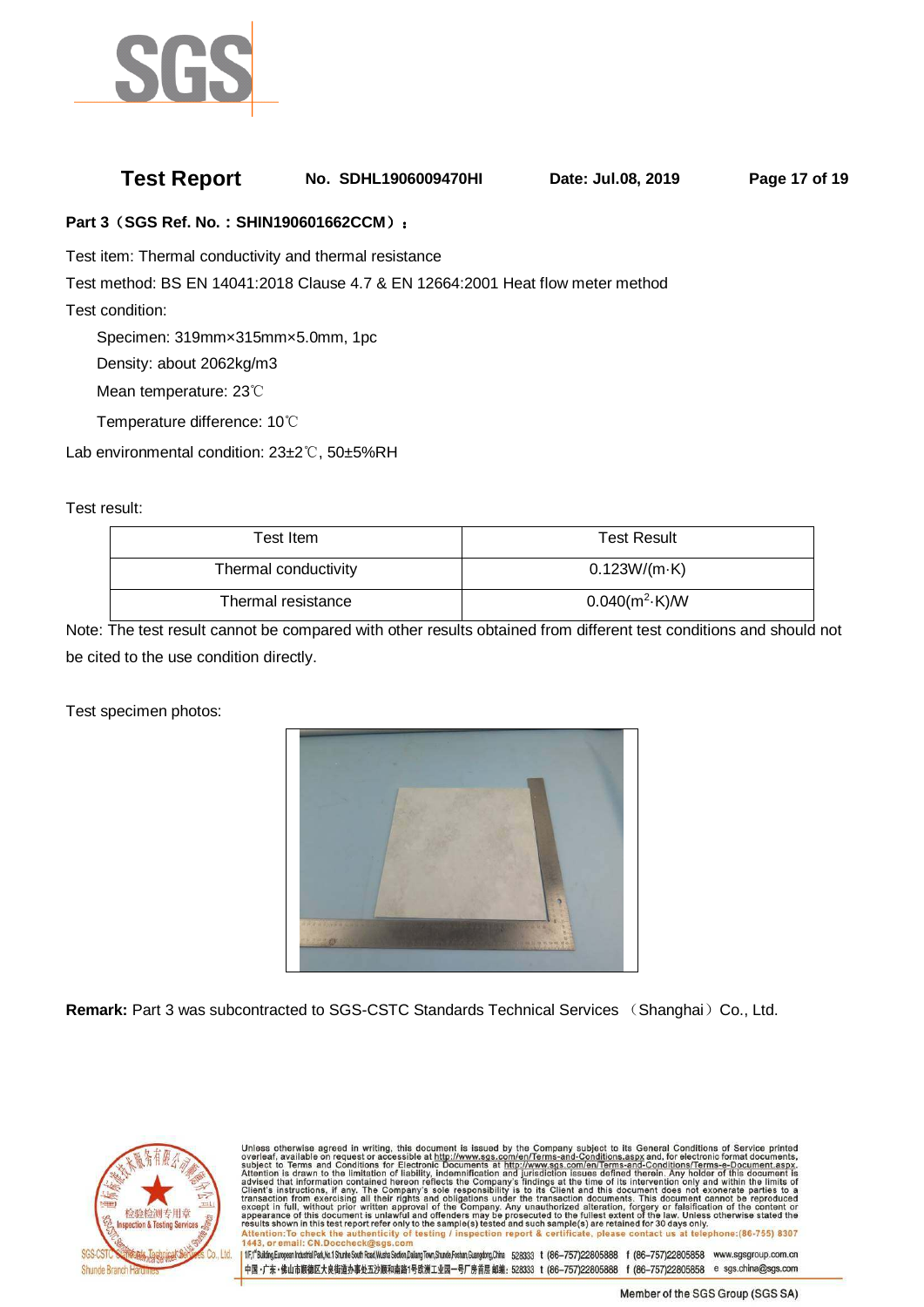

# **Test Report No. SDHL1906009470HI Date: Jul.08, 2019 Page 17 of 19**

### **Part 3**(**SGS Ref. No.:SHIN190601662CCM**):

Test item: Thermal conductivity and thermal resistance

Test method: BS EN 14041:2018 Clause 4.7 & EN 12664:2001 Heat flow meter method

Test condition:

Specimen: 319mm×315mm×5.0mm, 1pc

Density: about 2062kg/m3

Mean temperature: 23℃

Temperature difference: 10℃

Lab environmental condition: 23±2℃, 50±5%RH

Test result:

| Test Item            | <b>Test Result</b>      |
|----------------------|-------------------------|
| Thermal conductivity | $0.123W/(m \cdot K)$    |
| Thermal resistance   | $0.040(m^2 \cdot K)$ /W |

Note: The test result cannot be compared with other results obtained from different test conditions and should not be cited to the use condition directly.

Test specimen photos:



**Remark:** Part 3 was subcontracted to SGS-CSTC Standards Technical Services (Shanghai) Co., Ltd.



Unless otherwise agreed in writing, this document is issued by the Company subject to its General Conditions of Service printed<br>overleaf, available on request or accessible at http://www.sgs.com/en/Terms-and-Conditions.as esults shown in this test report<br>Attention:To check the authe<br>443, or email: CN.Doccheck@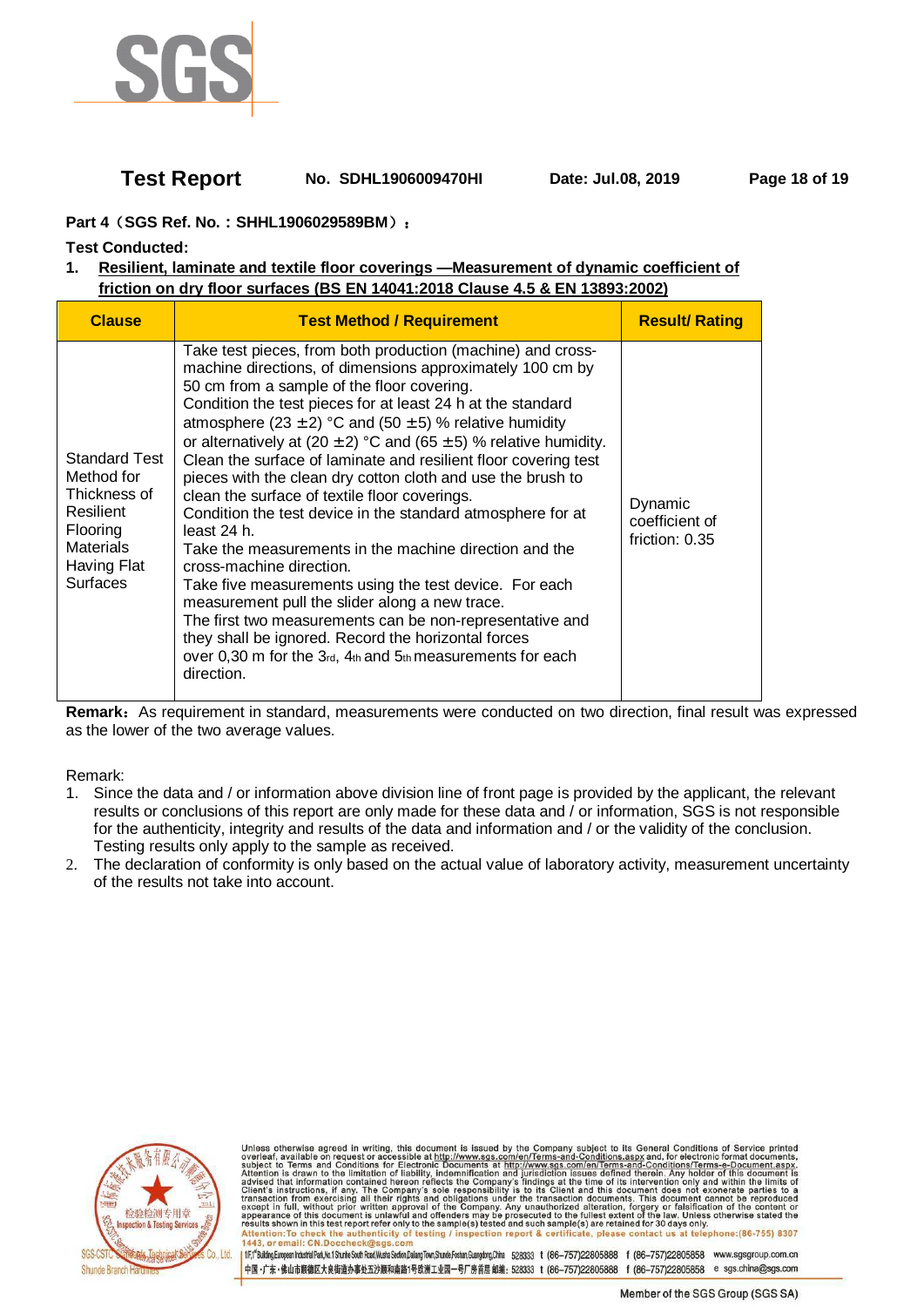

# **Test Report No. SDHL1906009470HI Date: Jul.08, 2019 Page 18 of 19**

## **Part 4**(**SGS Ref. No.:SHHL1906029589BM**):

### **Test Conducted:**

## **1. Resilient, laminate and textile floor coverings —Measurement of dynamic coefficient of friction on dry floor surfaces (BS EN 14041:2018 Clause 4.5 & EN 13893:2002)**

| <b>Clause</b>                                                                                                                            | <b>Test Method / Requirement</b>                                                                                                                                                                                                                                                                                                                                                                                                                                                                                                                                                                                                                                                                                                                                                                                                                                                                                                                                                                                                                        | <b>Result/ Rating</b>                         |
|------------------------------------------------------------------------------------------------------------------------------------------|---------------------------------------------------------------------------------------------------------------------------------------------------------------------------------------------------------------------------------------------------------------------------------------------------------------------------------------------------------------------------------------------------------------------------------------------------------------------------------------------------------------------------------------------------------------------------------------------------------------------------------------------------------------------------------------------------------------------------------------------------------------------------------------------------------------------------------------------------------------------------------------------------------------------------------------------------------------------------------------------------------------------------------------------------------|-----------------------------------------------|
| <b>Standard Test</b><br>Method for<br>Thickness of<br>Resilient<br><b>Flooring</b><br><b>Materials</b><br>Having Flat<br><b>Surfaces</b> | Take test pieces, from both production (machine) and cross-<br>machine directions, of dimensions approximately 100 cm by<br>50 cm from a sample of the floor covering.<br>Condition the test pieces for at least 24 h at the standard<br>atmosphere (23 $\pm$ 2) °C and (50 $\pm$ 5) % relative humidity<br>or alternatively at $(20 \pm 2)$ °C and $(65 \pm 5)$ % relative humidity.<br>Clean the surface of laminate and resilient floor covering test<br>pieces with the clean dry cotton cloth and use the brush to<br>clean the surface of textile floor coverings.<br>Condition the test device in the standard atmosphere for at<br>least 24 h.<br>Take the measurements in the machine direction and the<br>cross-machine direction.<br>Take five measurements using the test device. For each<br>measurement pull the slider along a new trace.<br>The first two measurements can be non-representative and<br>they shall be ignored. Record the horizontal forces<br>over 0,30 m for the 3rd, 4th and 5th measurements for each<br>direction. | Dynamic<br>coefficient of<br>friction: $0.35$ |

Remark: As requirement in standard, measurements were conducted on two direction, final result was expressed as the lower of the two average values.

#### Remark:

- 1. Since the data and / or information above division line of front page is provided by the applicant, the relevant results or conclusions of this report are only made for these data and / or information, SGS is not responsible for the authenticity, integrity and results of the data and information and / or the validity of the conclusion. Testing results only apply to the sample as received.
- 2. The declaration of conformity is only based on the actual value of laboratory activity, measurement uncertainty of the results not take into account.



Unless otherwise agreed in writing, this document is issued by the Company subject to its General Conditions of Service printed<br>overleaf, available on request or accessible at http://www.sgs.com/en/Terms-and-Conditions.as